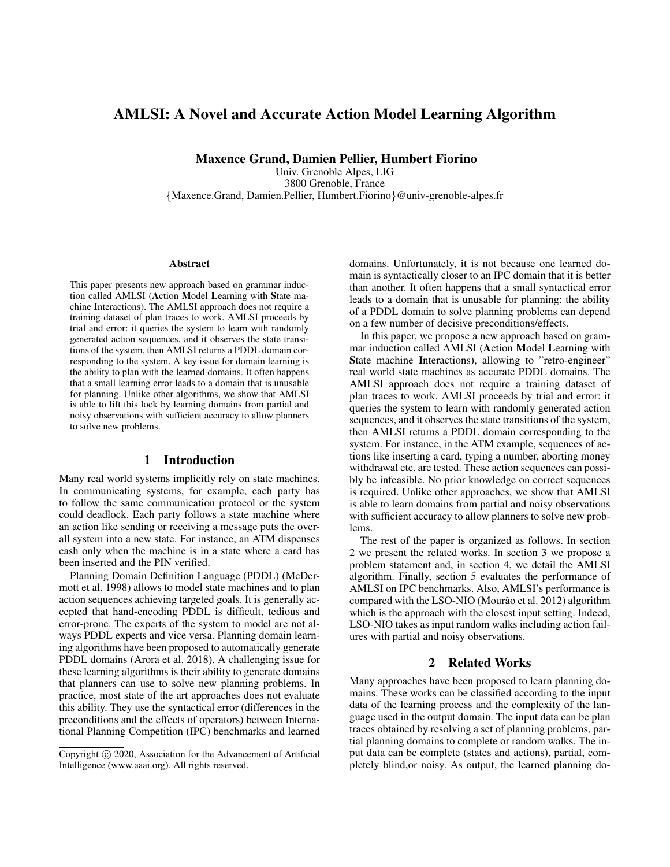# AMLSI: A Novel and Accurate Action Model Learning Algorithm

Maxence Grand, Damien Pellier, Humbert Fiorino

Univ. Grenoble Alpes, LIG 3800 Grenoble, France {Maxence.Grand, Damien.Pellier, Humbert.Fiorino}@univ-grenoble-alpes.fr

#### Abstract

This paper presents new approach based on grammar induction called AMLSI (Action Model Learning with State machine Interactions). The AMLSI approach does not require a training dataset of plan traces to work. AMLSI proceeds by trial and error: it queries the system to learn with randomly generated action sequences, and it observes the state transitions of the system, then AMLSI returns a PDDL domain corresponding to the system. A key issue for domain learning is the ability to plan with the learned domains. It often happens that a small learning error leads to a domain that is unusable for planning. Unlike other algorithms, we show that AMLSI is able to lift this lock by learning domains from partial and noisy observations with sufficient accuracy to allow planners to solve new problems.

## 1 Introduction

Many real world systems implicitly rely on state machines. In communicating systems, for example, each party has to follow the same communication protocol or the system could deadlock. Each party follows a state machine where an action like sending or receiving a message puts the overall system into a new state. For instance, an ATM dispenses cash only when the machine is in a state where a card has been inserted and the PIN verified.

Planning Domain Definition Language (PDDL) (McDermott et al. 1998) allows to model state machines and to plan action sequences achieving targeted goals. It is generally accepted that hand-encoding PDDL is difficult, tedious and error-prone. The experts of the system to model are not always PDDL experts and vice versa. Planning domain learning algorithms have been proposed to automatically generate PDDL domains (Arora et al. 2018). A challenging issue for these learning algorithms is their ability to generate domains that planners can use to solve new planning problems. In practice, most state of the art approaches does not evaluate this ability. They use the syntactical error (differences in the preconditions and the effects of operators) between International Planning Competition (IPC) benchmarks and learned domains. Unfortunately, it is not because one learned domain is syntactically closer to an IPC domain that it is better than another. It often happens that a small syntactical error leads to a domain that is unusable for planning: the ability of a PDDL domain to solve planning problems can depend on a few number of decisive preconditions/effects.

In this paper, we propose a new approach based on grammar induction called AMLSI (Action Model Learning with State machine Interactions), allowing to "retro-engineer" real world state machines as accurate PDDL domains. The AMLSI approach does not require a training dataset of plan traces to work. AMLSI proceeds by trial and error: it queries the system to learn with randomly generated action sequences, and it observes the state transitions of the system, then AMLSI returns a PDDL domain corresponding to the system. For instance, in the ATM example, sequences of actions like inserting a card, typing a number, aborting money withdrawal etc. are tested. These action sequences can possibly be infeasible. No prior knowledge on correct sequences is required. Unlike other approaches, we show that AMLSI is able to learn domains from partial and noisy observations with sufficient accuracy to allow planners to solve new problems.

The rest of the paper is organized as follows. In section 2 we present the related works. In section 3 we propose a problem statement and, in section 4, we detail the AMLSI algorithm. Finally, section 5 evaluates the performance of AMLSI on IPC benchmarks. Also, AMLSI's performance is compared with the LSO-NIO (Mourão et al. 2012) algorithm which is the approach with the closest input setting. Indeed, LSO-NIO takes as input random walks including action failures with partial and noisy observations.

## 2 Related Works

Many approaches have been proposed to learn planning domains. These works can be classified according to the input data of the learning process and the complexity of the language used in the output domain. The input data can be plan traces obtained by resolving a set of planning problems, partial planning domains to complete or random walks. The input data can be complete (states and actions), partial, completely blind,or noisy. As output, the learned planning do-

Copyright (c) 2020, Association for the Advancement of Artificial Intelligence (www.aaai.org). All rights reserved.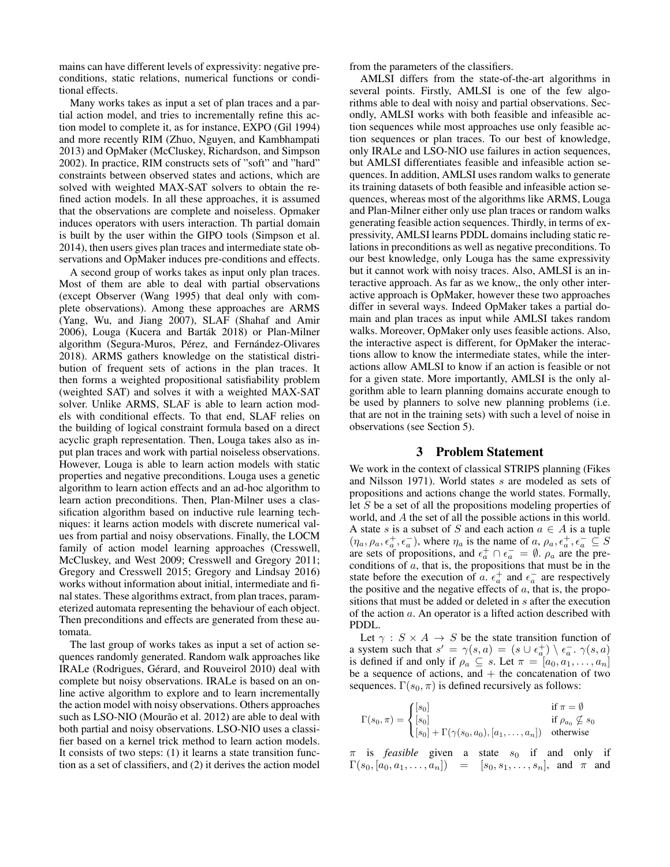mains can have different levels of expressivity: negative preconditions, static relations, numerical functions or conditional effects.

Many works takes as input a set of plan traces and a partial action model, and tries to incrementally refine this action model to complete it, as for instance, EXPO (Gil 1994) and more recently RIM (Zhuo, Nguyen, and Kambhampati 2013) and OpMaker (McCluskey, Richardson, and Simpson 2002). In practice, RIM constructs sets of "soft" and "hard" constraints between observed states and actions, which are solved with weighted MAX-SAT solvers to obtain the refined action models. In all these approaches, it is assumed that the observations are complete and noiseless. Opmaker induces operators with users interaction. Th partial domain is built by the user within the GIPO tools (Simpson et al. 2014), then users gives plan traces and intermediate state observations and OpMaker induces pre-conditions and effects.

A second group of works takes as input only plan traces. Most of them are able to deal with partial observations (except Observer (Wang 1995) that deal only with complete observations). Among these approaches are ARMS (Yang, Wu, and Jiang 2007), SLAF (Shahaf and Amir 2006), Louga (Kucera and Barták 2018) or Plan-Milner algorithm (Segura-Muros, Pérez, and Fernández-Olivares 2018). ARMS gathers knowledge on the statistical distribution of frequent sets of actions in the plan traces. It then forms a weighted propositional satisfiability problem (weighted SAT) and solves it with a weighted MAX-SAT solver. Unlike ARMS, SLAF is able to learn action models with conditional effects. To that end, SLAF relies on the building of logical constraint formula based on a direct acyclic graph representation. Then, Louga takes also as input plan traces and work with partial noiseless observations. However, Louga is able to learn action models with static properties and negative preconditions. Louga uses a genetic algorithm to learn action effects and an ad-hoc algorithm to learn action preconditions. Then, Plan-Milner uses a classification algorithm based on inductive rule learning techniques: it learns action models with discrete numerical values from partial and noisy observations. Finally, the LOCM family of action model learning approaches (Cresswell, McCluskey, and West 2009; Cresswell and Gregory 2011; Gregory and Cresswell 2015; Gregory and Lindsay 2016) works without information about initial, intermediate and final states. These algorithms extract, from plan traces, parameterized automata representing the behaviour of each object. Then preconditions and effects are generated from these automata.

The last group of works takes as input a set of action sequences randomly generated. Random walk approaches like IRALe (Rodrigues, Gérard, and Rouveirol 2010) deal with complete but noisy observations. IRALe is based on an online active algorithm to explore and to learn incrementally the action model with noisy observations. Others approaches such as LSO-NIO (Mourão et al. 2012) are able to deal with both partial and noisy observations. LSO-NIO uses a classifier based on a kernel trick method to learn action models. It consists of two steps: (1) it learns a state transition function as a set of classifiers, and (2) it derives the action model

from the parameters of the classifiers.

AMLSI differs from the state-of-the-art algorithms in several points. Firstly, AMLSI is one of the few algorithms able to deal with noisy and partial observations. Secondly, AMLSI works with both feasible and infeasible action sequences while most approaches use only feasible action sequences or plan traces. To our best of knowledge, only IRALe and LSO-NIO use failures in action sequences, but AMLSI differentiates feasible and infeasible action sequences. In addition, AMLSI uses random walks to generate its training datasets of both feasible and infeasible action sequences, whereas most of the algorithms like ARMS, Louga and Plan-Milner either only use plan traces or random walks generating feasible action sequences. Thirdly, in terms of expressivity, AMLSI learns PDDL domains including static relations in preconditions as well as negative preconditions. To our best knowledge, only Louga has the same expressivity but it cannot work with noisy traces. Also, AMLSI is an interactive approach. As far as we know,, the only other interactive approach is OpMaker, however these two approaches differ in several ways. Indeed OpMaker takes a partial domain and plan traces as input while AMLSI takes random walks. Moreover, OpMaker only uses feasible actions. Also, the interactive aspect is different, for OpMaker the interactions allow to know the intermediate states, while the interactions allow AMLSI to know if an action is feasible or not for a given state. More importantly, AMLSI is the only algorithm able to learn planning domains accurate enough to be used by planners to solve new planning problems (i.e. that are not in the training sets) with such a level of noise in observations (see Section 5).

# 3 Problem Statement

We work in the context of classical STRIPS planning (Fikes and Nilsson 1971). World states s are modeled as sets of propositions and actions change the world states. Formally, let S be a set of all the propositions modeling properties of world, and A the set of all the possible actions in this world. A state s is a subset of S and each action  $a \in A$  is a tuple  $(\eta_a, \rho_a, \epsilon_a^+, \epsilon_a^-)$ , where  $\eta_a$  is the name of  $a, \rho_a, \epsilon_a^+, \epsilon_a^- \subseteq S$ are sets of propositions, and  $\epsilon_a^+ \cap \epsilon_a^- = \emptyset$ .  $\rho_a$  are the preconditions of  $a$ , that is, the propositions that must be in the state before the execution of a.  $\epsilon_a^+$  and  $\epsilon_a^-$  are respectively the positive and the negative effects of  $a$ , that is, the propositions that must be added or deleted in s after the execution of the action a. An operator is a lifted action described with PDDL.

Let  $\gamma$ :  $S \times A \rightarrow S$  be the state transition function of a system such that  $s' = \gamma(s, a) = (s \cup \epsilon_a^+) \setminus \epsilon_a^-$ .  $\gamma(s, a)$ is defined if and only if  $\rho_a \subseteq s$ . Let  $\pi = [a_0, a_1, \dots, a_n]$ be a sequence of actions, and  $+$  the concatenation of two sequences.  $\Gamma(s_0, \pi)$  is defined recursively as follows:

$$
\Gamma(s_0, \pi) = \begin{cases}\n[s_0] & \text{if } \pi = \emptyset \\
[s_0] & \text{if } \rho_{a_0} \nsubseteq s_0 \\
[s_0] + \Gamma(\gamma(s_0, a_0), [a_1, \dots, a_n]) & \text{otherwise}\n\end{cases}
$$

 $\pi$  is *feasible* given a state  $s_0$  if and only if  $\Gamma(s_0, [a_0, a_1, \ldots, a_n]) = [s_0, s_1, \ldots, s_n],$  and  $\pi$  and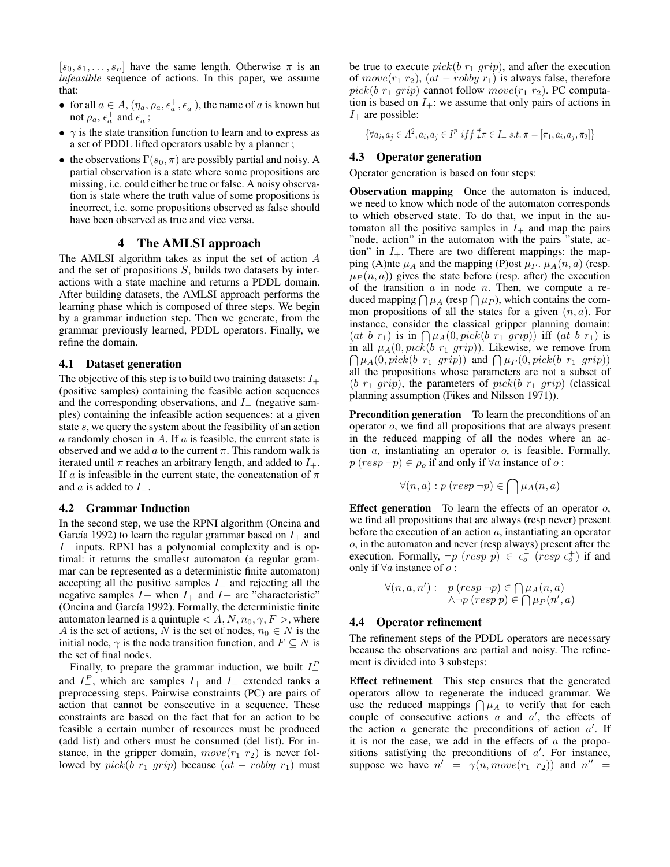$[s_0, s_1, \ldots, s_n]$  have the same length. Otherwise  $\pi$  is an *infeasible* sequence of actions. In this paper, we assume that:

- for all  $a \in A$ ,  $(\eta_a, \rho_a, \epsilon_a^+, \epsilon_a^-)$ , the name of a is known but not  $\rho_a$ ,  $\epsilon_a^+$  and  $\epsilon_a^-$ ;
- $\gamma$  is the state transition function to learn and to express as a set of PDDL lifted operators usable by a planner ;
- the observations  $\Gamma(s_0, \pi)$  are possibly partial and noisy. A partial observation is a state where some propositions are missing, i.e. could either be true or false. A noisy observation is state where the truth value of some propositions is incorrect, i.e. some propositions observed as false should have been observed as true and vice versa.

# 4 The AMLSI approach

The AMLSI algorithm takes as input the set of action A and the set of propositions S, builds two datasets by interactions with a state machine and returns a PDDL domain. After building datasets, the AMLSI approach performs the learning phase which is composed of three steps. We begin by a grammar induction step. Then we generate, from the grammar previously learned, PDDL operators. Finally, we refine the domain.

## 4.1 Dataset generation

The objective of this step is to build two training datasets:  $I_+$ (positive samples) containing the feasible action sequences and the corresponding observations, and I<sup>−</sup> (negative samples) containing the infeasible action sequences: at a given state s, we query the system about the feasibility of an action  $\alpha$  randomly chosen in A. If  $\alpha$  is feasible, the current state is observed and we add  $a$  to the current  $\pi$ . This random walk is iterated until  $\pi$  reaches an arbitrary length, and added to  $I_+$ . If a is infeasible in the current state, the concatenation of  $\pi$ and  $a$  is added to  $I_-.$ 

#### 4.2 Grammar Induction

In the second step, we use the RPNI algorithm (Oncina and García 1992) to learn the regular grammar based on  $I_+$  and I<sup>−</sup> inputs. RPNI has a polynomial complexity and is optimal: it returns the smallest automaton (a regular grammar can be represented as a deterministic finite automaton) accepting all the positive samples  $I_+$  and rejecting all the negative samples  $I-$  when  $I+$  and  $I-$  are "characteristic" (Oncina and García 1992). Formally, the deterministic finite automaton learned is a quintuple  $\lt A, N, n_0, \gamma, F >$ , where A is the set of actions, N is the set of nodes,  $n_0 \in N$  is the initial node,  $\gamma$  is the node transition function, and  $F \subseteq N$  is the set of final nodes.

Finally, to prepare the grammar induction, we built  $I^P_+$ and  $I_{-}^{P}$ , which are samples  $I_{+}$  and  $I_{-}$  extended tanks a preprocessing steps. Pairwise constraints (PC) are pairs of action that cannot be consecutive in a sequence. These constraints are based on the fact that for an action to be feasible a certain number of resources must be produced (add list) and others must be consumed (del list). For instance, in the gripper domain,  $move(r_1 r_2)$  is never followed by  $pick(b \ r_1 \ grip)$  because  $(at - roby \ r_1)$  must

be true to execute  $pick(b r_1 grip)$ , and after the execution of  $move(r_1 r_2)$ ,  $(at - roby r_1)$  is always false, therefore  $pick(b r_1 grip)$  cannot follow  $move(r_1 r_2)$ . PC computation is based on  $I_{+}$ : we assume that only pairs of actions in  $I_+$  are possible:

 $\{\forall a_i, a_j \in A^2, a_i, a_j \in I^p_-\ iff f \nexists \pi \in I_+ \ s.t. \ \pi = [\pi_1, a_i, a_j, \pi_2]\}$ 

## 4.3 Operator generation

Operator generation is based on four steps:

Observation mapping Once the automaton is induced, we need to know which node of the automaton corresponds to which observed state. To do that, we input in the automaton all the positive samples in  $I_+$  and map the pairs "node, action" in the automaton with the pairs "state, action" in  $I_{+}$ . There are two different mappings: the mapping (A)nte  $\mu_A$  and the mapping (P)ost  $\mu_P$ .  $\mu_A(n, a)$  (resp.  $\mu_P(n, a)$  gives the state before (resp. after) the execution of the transition  $a$  in node  $n$ . Then, we compute a reduced mapping  $\bigcap \mu_A$  (resp  $\bigcap \mu_P$ ), which contains the common propositions of all the states for a given  $(n, a)$ . For instance, consider the classical gripper planning domain: (at b  $r_1$ ) is in  $\bigcap \mu_A(0, pick(b r_1 grip))$  iff (at b  $r_1$ ) is  $\bigcap \mu_A(0, pick(b \ r_1 \ grip))$  and  $\bigcap \mu_P(0, pick(b \ r_1 \ grip))$ in all  $\mu_A(0, pick(b r_1 grip))$ . Likewise, we remove from all the propositions whose parameters are not a subset of  $(b r_1 qrip)$ , the parameters of pick $(b r_1 qrip)$  (classical planning assumption (Fikes and Nilsson 1971)).

Precondition generation To learn the preconditions of an operator o, we find all propositions that are always present in the reduced mapping of all the nodes where an action a, instantiating an operator o, is feasible. Formally,  $p (resp \neg p) \in \rho_o$  if and only if  $\forall a$  instance of  $o$ :

$$
\forall (n, a) : p \ (resp \ \neg p) \in \bigcap \mu_A(n, a)
$$

**Effect generation** To learn the effects of an operator  $o$ , we find all propositions that are always (resp never) present before the execution of an action  $a$ , instantiating an operator o, in the automaton and never (resp always) present after the execution. Formally,  $\neg p$   $(resp \ p) \in \epsilon_o^ (resp \ \epsilon_o^+)$  if and only if  $\forall a$  instance of  $o$  :

$$
\forall (n, a, n') : p (resp \neg p) \in \bigcap \mu_A(n, a)
$$
  

$$
\land \neg p (resp p) \in \bigcap \mu_P(n', a)
$$

#### 4.4 Operator refinement

The refinement steps of the PDDL operators are necessary because the observations are partial and noisy. The refinement is divided into 3 substeps:

Effect refinement This step ensures that the generated operators allow to regenerate the induced grammar. We use the reduced mappings  $\bigcap \mu_A$  to verify that for each couple of consecutive actions  $a$  and  $a'$ , the effects of the action  $a$  generate the preconditions of action  $a'$ . If it is not the case, we add in the effects of  $a$  the propositions satisfying the preconditions of  $a'$ . For instance, suppose we have  $n' = \gamma(n, move(r_1 \ r_2))$  and  $n'' =$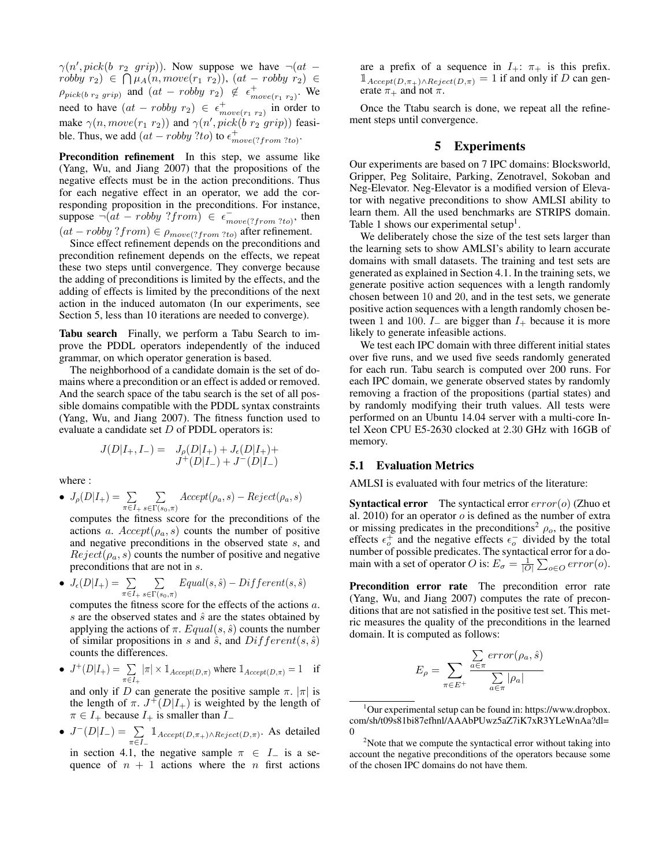$\gamma(n', pick(b \ r_2 \ grip)).$  Now suppose we have  $\neg(at \$  $robby \ r_2) \ \in \ \bigcap \mu_A(n, move(r_1 \ r_2)), \ (at - roby \ r_2) \ \in$  $\rho_{pick(b\ r_2\ grip)}$  and  $(at - robby\ r_2) \not\in \epsilon_{move(r_1\ r_2)}^+$ . We need to have  $(at - robby r_2) \in \epsilon_{move(r_1 r_2)}^+$  in order to make  $\gamma(n, move(r_1 r_2))$  and  $\gamma(n', pick(b r_2' grip))$  feasible. Thus, we add  $(at - robby ?to)$  to  $\epsilon_{move(?from ?to)}^+$ .

Precondition refinement In this step, we assume like (Yang, Wu, and Jiang 2007) that the propositions of the negative effects must be in the action preconditions. Thus for each negative effect in an operator, we add the corresponding proposition in the preconditions. For instance, suppose  $\neg(at - roby ? from) \in \epsilon_{move(? from ?to)}^-$ , then  $(at - roby ? from) \in \rho_{move(? from ?to)}$  after refinement.

Since effect refinement depends on the preconditions and precondition refinement depends on the effects, we repeat these two steps until convergence. They converge because the adding of preconditions is limited by the effects, and the adding of effects is limited by the preconditions of the next action in the induced automaton (In our experiments, see Section 5, less than 10 iterations are needed to converge).

Tabu search Finally, we perform a Tabu Search to improve the PDDL operators independently of the induced grammar, on which operator generation is based.

The neighborhood of a candidate domain is the set of domains where a precondition or an effect is added or removed. And the search space of the tabu search is the set of all possible domains compatible with the PDDL syntax constraints (Yang, Wu, and Jiang 2007). The fitness function used to evaluate a candidate set D of PDDL operators is:

$$
J(D|I_+,I_-) = J_\rho(D|I_+) + J_\epsilon(D|I_+) +
$$
  

$$
J^+(D|I_-) + J^-(D|I_-)
$$

where :

• 
$$
J_{\rho}(D|I_{+}) = \sum_{\pi \in I_{+}} \sum_{s \in \Gamma(s_{0}, \pi)} Accpt(\rho_{a}, s) - Reject(\rho_{a}, s)
$$

computes the fitness score for the preconditions of the actions a.  $Accept(\rho_a, s)$  counts the number of positive and negative preconditions in the observed state s, and  $Reject(\rho_a, s)$  counts the number of positive and negative preconditions that are not in s.

• 
$$
J_{\epsilon}(D|I_{+}) = \sum_{\pi \in I_{+}} \sum_{s \in \Gamma(s_0, \pi)} Equal(s, \hat{s}) - Different(s, \hat{s})
$$

computes the fitness score for the effects of the actions a. s are the observed states and  $\hat{s}$  are the states obtained by applying the actions of  $\pi$ .  $Equal(s, \hat{s})$  counts the number of similar propositions in s and  $\hat{s}$ , and  $Differential$  ferent $(s, \hat{s})$ counts the differences.

 $J^+(D|I_+) = \sum$  $\sum_{\pi \in I_+} |\pi| \times 1_{Accept(D,\pi)}$  where  $1_{Accept(D,\pi)} = 1$  if

and only if D can generate the positive sample  $\pi$ .  $|\pi|$  is the length of  $\pi$ .  $J^{\dagger}(D|I_{+})$  is weighted by the length of  $\pi \in I_+$  because  $I_+$  is smaller than  $I_-$ 

•  $J^{-}(D|I_{-}) = \sum$  $\sum_{\pi \in I_-} \mathbb{1}_{Accept(D,\pi_+) \wedge Reject(D,\pi)}$ . As detailed

in section 4.1, the negative sample  $\pi \in I$  is a sequence of  $n + 1$  actions where the n first actions are a prefix of a sequence in  $I_+$ :  $\pi_+$  is this prefix.  $\mathbb{1}_{Accept(D,\pi_+)\wedge Reject(D,\pi)} = 1$  if and only if D can generate  $\pi_+$  and not  $\pi$ .

Once the Ttabu search is done, we repeat all the refinement steps until convergence.

# 5 Experiments

Our experiments are based on 7 IPC domains: Blocksworld, Gripper, Peg Solitaire, Parking, Zenotravel, Sokoban and Neg-Elevator. Neg-Elevator is a modified version of Elevator with negative preconditions to show AMLSI ability to learn them. All the used benchmarks are STRIPS domain. Table 1 shows our experimental setup<sup>1</sup>.

We deliberately chose the size of the test sets larger than the learning sets to show AMLSI's ability to learn accurate domains with small datasets. The training and test sets are generated as explained in Section 4.1. In the training sets, we generate positive action sequences with a length randomly chosen between 10 and 20, and in the test sets, we generate positive action sequences with a length randomly chosen between 1 and 100.  $I_$  are bigger than  $I_+$  because it is more likely to generate infeasible actions.

We test each IPC domain with three different initial states over five runs, and we used five seeds randomly generated for each run. Tabu search is computed over 200 runs. For each IPC domain, we generate observed states by randomly removing a fraction of the propositions (partial states) and by randomly modifying their truth values. All tests were performed on an Ubuntu 14.04 server with a multi-core Intel Xeon CPU E5-2630 clocked at 2.30 GHz with 16GB of memory.

#### 5.1 Evaluation Metrics

AMLSI is evaluated with four metrics of the literature:

**Syntactical error** The syntactical error  $error(o)$  (Zhuo et al. 2010) for an operator  $o$  is defined as the number of extra or missing predicates in the preconditions<sup>2</sup>  $\rho_o$ , the positive effects  $\epsilon_o^+$  and the negative effects  $\epsilon_o^-$  divided by the total number of possible predicates. The syntactical error for a domain with a set of operator O is:  $E_{\sigma} = \frac{1}{|O|} \sum_{o \in O} error(o)$ .

Precondition error rate The precondition error rate (Yang, Wu, and Jiang 2007) computes the rate of preconditions that are not satisfied in the positive test set. This metric measures the quality of the preconditions in the learned domain. It is computed as follows:

$$
E_{\rho} = \sum_{\pi \in E^{+}} \frac{\sum_{a \in \pi} error(\rho_{a}, \hat{s})}{\sum_{a \in \pi} |\rho_{a}|}
$$

 $1$ Our experimental setup can be found in: https://www.dropbox. com/sh/t09s81bi87efhnl/AAAbPUwz5aZ7iK7xR3YLeWnAa?dl= 0

<sup>&</sup>lt;sup>2</sup>Note that we compute the syntactical error without taking into account the negative preconditions of the operators because some of the chosen IPC domains do not have them.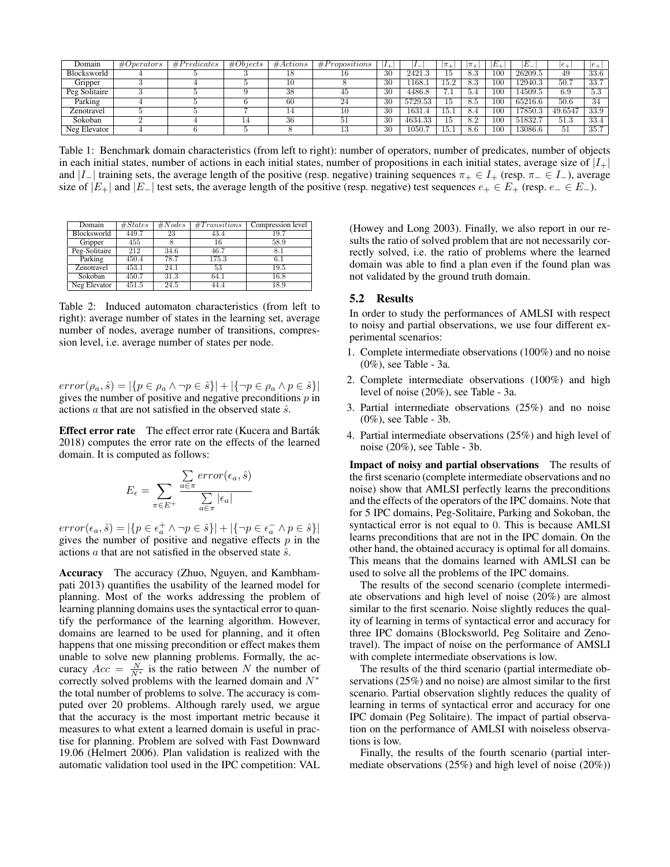| Domain        | # Operators | #Predicates | #Objects | #Actions | #Propositions | <b>L</b> | --      | $\overline{a}$ | $\pi$ + | $E_{\perp}$     | E_      | $ e_+$  | $ e_{\perp}$    |
|---------------|-------------|-------------|----------|----------|---------------|----------|---------|----------------|---------|-----------------|---------|---------|-----------------|
| Blocksworld   |             |             |          |          | 10            | 30       | 2421    | 15             | 8.3     | 100             | 26209.5 | 49      | 33.6            |
| Gripper       |             |             |          | 10       |               | 30       | 1168.   | L5.2           | 8.3     | 10 <sup>c</sup> | 12940.3 | 50.7    | 33.7            |
| Peg Solitaire |             |             |          | 38       | 45            | 30       | 4486.8  | ∽<br>$\cdot$ 1 | 5.4     | 100             | 14509.5 | 6.9     | $\Omega$<br>ು.ಎ |
| Parking       |             |             |          | 60       | 24            | 30       | 5729.53 | 15.            | 8.5     | 100             | 65216.6 | 50.6    | 34              |
| Zenotravel    |             |             |          | 14       |               | 30       | 1631    | 15.I           | 8.4     | 100             | 7850.3  | 49.6547 | 33.9            |
| Sokoban       |             |             |          | 36       | -91           | 30       | 4634.33 | 15             | 8.2     | 100             | 51832.7 | 51.3    | 33.4            |
| Neg Elevator  |             |             |          |          |               | 30       | 1050.   | T9.            | 8.6     | 100             | 13086.6 | -91     | 35.7            |

Table 1: Benchmark domain characteristics (from left to right): number of operators, number of predicates, number of objects in each initial states, number of actions in each initial states, number of propositions in each initial states, average size of  $|I_+|$ and  $|I_{-}|$  training sets, the average length of the positive (resp. negative) training sequences  $\pi_{+} \in I_{+}$  (resp.  $\pi_{-} \in I_{-}$ ), average size of  $|E_+|$  and  $|E_-|$  test sets, the average length of the positive (resp. negative) test sequences  $e_+ \in E_+$  (resp.  $e_- \in E_-$ ).

| Domain        | #States | #Nodes | #Transitions | Compression level |
|---------------|---------|--------|--------------|-------------------|
| Blocksworld   | 449.7   | 23     | 43.4         | 19.7              |
| Gripper       | 455     |        | 16           | 58.9              |
| Peg-Solitaire | 212     | 34.6   | 46.7         | 8.1               |
| Parking       | 450.4   | 78.7   | 175.3        | 6.1               |
| Zenotravel    | 453.1   | 24.1   | 53           | 19.5              |
| Sokoban       | 450.7   | 31.3   | 64.1         | 16.8              |
| Neg Elevator  | 451.5   | 24.5   | 44.4         | 18.9              |

Table 2: Induced automaton characteristics (from left to right): average number of states in the learning set, average number of nodes, average number of transitions, compression level, i.e. average number of states per node.

 $error(\rho_a, \hat{s}) = |\{p \in \rho_a \land \neg p \in \hat{s}\}| + |\{\neg p \in \rho_a \land p \in \hat{s}\}|$ gives the number of positive and negative preconditions  $p$  in actions  $\alpha$  that are not satisfied in the observed state  $\hat{s}$ .

Effect error rate The effect error rate (Kucera and Barták) 2018) computes the error rate on the effects of the learned domain. It is computed as follows:

$$
E_{\epsilon} = \sum_{\pi \in E^{+}} \frac{\sum_{a \in \pi} error(\epsilon_{a}, \hat{s})}{\sum_{a \in \pi} |\epsilon_{a}|}
$$

 $error(\epsilon_a, \hat{s}) = |\{p \in \epsilon_a^+ \land \neg p \in \hat{s}\}| + |\{\neg p \in \epsilon_a^- \land p \in \hat{s}\}|$ gives the number of positive and negative effects  $p$  in the actions  $\alpha$  that are not satisfied in the observed state  $\hat{s}$ .

Accuracy The accuracy (Zhuo, Nguyen, and Kambhampati 2013) quantifies the usability of the learned model for planning. Most of the works addressing the problem of learning planning domains uses the syntactical error to quantify the performance of the learning algorithm. However, domains are learned to be used for planning, and it often happens that one missing precondition or effect makes them unable to solve new planning problems. Formally, the accuracy  $Acc = \frac{N}{N^*}$  is the ratio between N the number of correctly solved problems with the learned domain and  $N^*$ the total number of problems to solve. The accuracy is computed over 20 problems. Although rarely used, we argue that the accuracy is the most important metric because it measures to what extent a learned domain is useful in practise for planning. Problem are solved with Fast Downward 19.06 (Helmert 2006). Plan validation is realized with the automatic validation tool used in the IPC competition: VAL (Howey and Long 2003). Finally, we also report in our results the ratio of solved problem that are not necessarily correctly solved, i.e. the ratio of problems where the learned domain was able to find a plan even if the found plan was not validated by the ground truth domain.

### 5.2 Results

In order to study the performances of AMLSI with respect to noisy and partial observations, we use four different experimental scenarios:

- 1. Complete intermediate observations (100%) and no noise (0%), see Table - 3a.
- 2. Complete intermediate observations (100%) and high level of noise (20%), see Table - 3a.
- 3. Partial intermediate observations (25%) and no noise (0%), see Table - 3b.
- 4. Partial intermediate observations (25%) and high level of noise (20%), see Table - 3b.

Impact of noisy and partial observations The results of the first scenario (complete intermediate observations and no noise) show that AMLSI perfectly learns the preconditions and the effects of the operators of the IPC domains. Note that for 5 IPC domains, Peg-Solitaire, Parking and Sokoban, the syntactical error is not equal to 0. This is because AMLSI learns preconditions that are not in the IPC domain. On the other hand, the obtained accuracy is optimal for all domains. This means that the domains learned with AMLSI can be used to solve all the problems of the IPC domains.

The results of the second scenario (complete intermediate observations and high level of noise (20%) are almost similar to the first scenario. Noise slightly reduces the quality of learning in terms of syntactical error and accuracy for three IPC domains (Blocksworld, Peg Solitaire and Zenotravel). The impact of noise on the performance of AMSLI with complete intermediate observations is low.

The results of the third scenario (partial intermediate observations (25%) and no noise) are almost similar to the first scenario. Partial observation slightly reduces the quality of learning in terms of syntactical error and accuracy for one IPC domain (Peg Solitaire). The impact of partial observation on the performance of AMLSI with noiseless observations is low.

Finally, the results of the fourth scenario (partial intermediate observations (25%) and high level of noise (20%))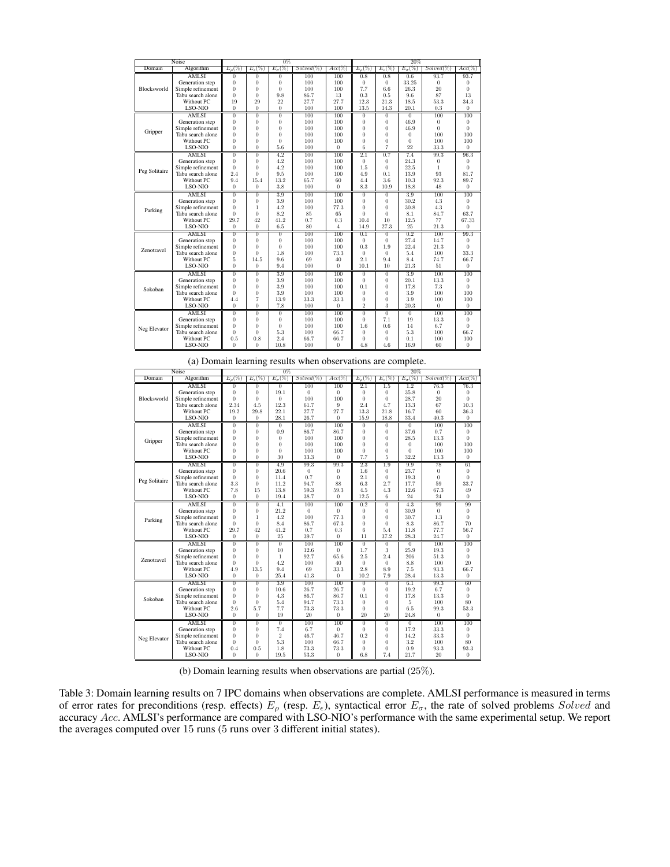| Noise                                                        |                   | $0\%$          |                   |                 |               |                  | 20%              |                    |                  |                |                  |  |
|--------------------------------------------------------------|-------------------|----------------|-------------------|-----------------|---------------|------------------|------------------|--------------------|------------------|----------------|------------------|--|
| Domain                                                       | Algorithm         | $E_{\rho}(\%$  | $E_{\epsilon}(\%$ | $E_{\sigma}(\%$ | $Solved (\%)$ | $Acc(\%$         | $E_{\alpha}(\%)$ | $E_{\epsilon}(\%)$ | $E_{\sigma}(\%)$ | $Solved(\%)$   | $Acc(\%$         |  |
|                                                              | <b>AMLSI</b>      | $\overline{0}$ | $\overline{0}$    | $\overline{0}$  | 100           | 100              | 0.8              | 0.8                | 0.6              | 93.7           | 93.7             |  |
|                                                              | Generation step   | $\theta$       | $\overline{0}$    | $\theta$        | 100           | 100              | 0                | $\Omega$           | 33.25            | $\Omega$       | $\Omega$         |  |
| Blocksworld                                                  | Simple refinement | $\theta$       | $\overline{0}$    | $\theta$        | 100           | 100              | 7.7              | 6.6                | 26.3             | 20             | $\theta$         |  |
|                                                              | Tabu search alone | $\theta$       | $\overline{0}$    | 9.8             | 86.7          | 13               | 0.3              | 0.5                | 9.6              | 87             | 13               |  |
|                                                              | Without PC        | 19             | 29                | 22              | 27.7          | 27.7             | 12.3             | 21.3               | 18.5             | 53.3           | 34.3             |  |
|                                                              | LSO-NIO           | $\theta$       | $\theta$          | $\Omega$        | 100           | 100              | 13.5             | 14.3               | 20.1             | 0.3            | $\theta$         |  |
|                                                              | AMLSI             | $\overline{0}$ | $\overline{0}$    | $\overline{0}$  | 100           | 100              | $\overline{0}$   | $\overline{0}$     | $\overline{0}$   | 100            | 100              |  |
|                                                              | Generation step   | $\theta$       | $\overline{0}$    | $\theta$        | 100           | 100              | $\theta$         | $\theta$           | 46.9             | $\overline{0}$ | $\overline{0}$   |  |
|                                                              | Simple refinement | $\theta$       | $\overline{0}$    | $\overline{0}$  | 100           | 100              | $\theta$         | $\theta$           | 46.9             | $\Omega$       | $\theta$         |  |
|                                                              | Tabu search alone | $\theta$       | $\overline{0}$    | $\theta$        | 100           | 100              | $\theta$         | $\theta$           | $\theta$         | 100            | 100              |  |
|                                                              | Without PC        | $\theta$       | $\theta$          | $\theta$        | 100           | 100              | $\theta$         | $\theta$           | $\theta$         | 100            | 100              |  |
|                                                              | LSO-NIO           | $\overline{0}$ | $\overline{0}$    | 5.6             | 100           | $\overline{0}$   | 6                | $\overline{7}$     | 22               | 33.3           | $\overline{0}$   |  |
|                                                              | <b>AMLSI</b>      | $\overline{0}$ | $\overline{0}$    | 4.2             | 100           | 100              | 2.1              | 0.7                | 7.4              | 99.3           | 96.3             |  |
|                                                              | Generation step   | $\theta$       | $\overline{0}$    | 4.2             | 100           | 100              | $\Omega$         | $\theta$           | 24.3             | $\theta$       | $\theta$         |  |
|                                                              | Simple refinement | $\theta$       | $\theta$          | 4.2             | 100           | 100              | 1.5              | $\theta$           | 22.5             | $\mathbf{1}$   | $\theta$         |  |
|                                                              | Tabu search alone | 2.4            | $\theta$          | 9.5             | 100           | 100              | 4.9              | 0.1                | 13.9             | 93             | 81.7             |  |
| Gripper<br>Peg Solitaire<br>Parking<br>Zenotravel<br>Sokoban | Without PC        | 9.4            | 15.4              | 13.2            | 65.7          | 60               | 4.4              | 3.6                | 10.3             | 92.3           | 89.7             |  |
|                                                              | LSO-NIO           | $\theta$       | $\overline{0}$    | 3.8             | 100           | $\overline{0}$   | 8.3              | 10.9               | 18.8             | 48             | $\theta$         |  |
|                                                              | AMLSI             | $\overline{0}$ | $\overline{0}$    | 3.9             | 100           | $\overline{100}$ | $\overline{0}$   | $\overline{0}$     | 3.9              | 100            | $\frac{100}{20}$ |  |
|                                                              | Generation step   | $\overline{0}$ | $\overline{0}$    | 3.9             | 100           | 100              | $\Omega$         | $\theta$           | 30.2             | 4.3            | $\overline{0}$   |  |
|                                                              | Simple refinement | $\theta$       | $\mathbf{I}$      | 4.2             | 100           | 77.3             | $\theta$         | $\theta$           | 30.8             | 4.3            | $\theta$         |  |
|                                                              | Tabu search alone | $\theta$       | $\overline{0}$    | 8.2             | 85            | 65               | $\theta$         | $\theta$           | 8.1              | 84.7           | 63.7             |  |
|                                                              | Without PC        | 29.7           | 42                | 41.2            | 0.7           | 0.3              | 10.4             | 10                 | 12.5             | 77             | 67.33            |  |
|                                                              | LSO-NIO           | $\theta$       | $\theta$          | 6.5             | 80            | $\overline{4}$   | 14.9             | 27.3               | 25               | 21.3           | $\theta$         |  |
|                                                              | AMLSI             | $\overline{0}$ | $\overline{0}$    | $\overline{0}$  | 100           | 100              | 0.1              | $\overline{0}$     | 0.2              | 100            | 99.3             |  |
|                                                              | Generation step   | $\overline{0}$ | $\overline{0}$    | $\overline{0}$  | 100           | 100              | $\Omega$         | $\overline{0}$     | 27.4             | 14.7           | $\theta$         |  |
|                                                              | Simple refinement | $\theta$       | $\theta$          | $\theta$        | 100           | 100              | 0.3              | 1.9                | 22.4             | 21.3           | $\theta$         |  |
|                                                              | Tabu search alone | $\theta$       | $\theta$          | 1.8             | 100           | 73.3             | $\Omega$         | $\theta$           | 5.4              | 100            | 33.3             |  |
|                                                              | Without PC        | 5              | 14.5              | 9.6             | 69            | 40               | 2.1              | 9.4                | 8.4              | 74.7           | 66.7             |  |
|                                                              | LSO-NIO           | $\theta$       | $\overline{0}$    | 9.4             | 100           | $\Omega$         | 10.1             | 10                 | 21.3             | 51             | $\overline{0}$   |  |
|                                                              | AML <sub>SI</sub> | $\overline{0}$ | $\overline{0}$    | 3.9             | 100           | 100              | $\overline{0}$   | $\overline{0}$     | 3.9              | 100            | 100              |  |
|                                                              | Generation step   | $\theta$       | $\overline{0}$    | 3.9             | 100           | 100              | $\Omega$         | $\theta$           | 20.1             | 13.3           | $\overline{0}$   |  |
|                                                              | Simple refinement | $\theta$       | $\overline{0}$    | 3.9             | 100           | 100              | 0.1              | $\theta$           | 17.8             | 7.3            | $\theta$         |  |
|                                                              | Tabu search alone | $\theta$       | $\overline{0}$    | 3.9             | 100           | 100              | $\Omega$         | $\theta$           | 3.9              | 100            | 100              |  |
|                                                              | Without PC        | 4.4            | $\overline{7}$    | 13.9            | 33.3          | 33.3             | $\Omega$         | $\theta$           | 3.9              | 100            | 100              |  |
| Neg Elevator                                                 | LSO-NIO           | $\Omega$       | $\overline{0}$    | 7.8             | 100           | 0                | $\overline{2}$   | 3                  | 20.3             | $\theta$       | $\Omega$         |  |
|                                                              | AMLSI             | $\overline{0}$ | $\overline{0}$    | $\overline{0}$  | 100           | 100              | $\overline{0}$   | $\overline{0}$     | $\overline{0}$   | 100            | 100              |  |
|                                                              | Generation step   | $\theta$       | $\theta$          | $\theta$        | 100           | 100              | $\Omega$         | 7.1                | 19               | 13.3           | $\theta$         |  |
|                                                              | Simple refinement | $\theta$       | $\overline{0}$    | $\theta$        | 100           | 100              | 1.6              | 0.6                | 14               | 6.7            | $\Omega$         |  |
|                                                              | Tabu search alone | $\theta$       | $\overline{0}$    | 5.3             | 100           | 66.7             | $\Omega$         | $\theta$           | 5.3              | 100            | 66.7             |  |
|                                                              | Without PC        | 0.5            | 0.8               | 2.4             | 66.7          | 66.7             | 0                | $\theta$           | 0.1              | 100            | 100              |  |
|                                                              | LSO-NIO           | $\theta$       | $\theta$          | 10.8            | 100           | 0                | 4.8              | 4.6                | 16.9             | 60             | $\theta$         |  |

| $Solved(\%)$<br>$E_{\sigma}(\%)$<br>Algorithm<br>$E_{\sigma}(\%)$<br>$Acc(\%)$<br>$E_{\rho}(\%)$<br>$E_{\epsilon}(\%)$<br>$Solved(\%)$<br>$Acc(\%)$<br>Domain<br>$E_{\rho}(\%)$<br>$E_{\epsilon}(\%)$<br>76.3<br>76.3<br><b>AMLSI</b><br>100<br>100<br>2.1<br>$\overline{0}$<br>1.2<br>$\overline{0}$<br>$\overline{0}$<br>1.5<br>$\theta$<br>$\overline{0}$<br>19.1<br>35.8<br>Generation step<br>$\theta$<br>$\theta$<br>$\Omega$<br>$\theta$<br>$\theta$<br>$\bf{0}$<br>Blocksworld<br>$\theta$<br>$\overline{0}$<br>100<br>100<br>$\theta$<br>28.7<br>20<br>$\theta$<br>Simple refinement<br>$\overline{0}$<br>$\overline{0}$<br>2.34<br>12.3<br>2.4<br>10.3<br>Tabu search alone<br>4.5<br>61.7<br>9<br>4.7<br>13.3<br>67<br>19.2<br>29.8<br>22.1<br>27.7<br>13.3<br>21.8<br>36.3<br>Without PC<br>27.7<br>16.7<br>60<br>LSO-NIO<br>$\Omega$<br>$\theta$<br>28.1<br>26.7<br>$\overline{0}$<br>15.9<br>18.8<br>33.4<br>40.3<br>$\overline{0}$<br><b>AMLSI</b><br>$\overline{0}$<br>$\overline{100}$<br>$\overline{0}$<br>$\overline{0}$<br>100<br>100<br>$\overline{0}$<br>100<br>$\overline{0}$<br>$\overline{0}$<br>37.6<br>$\theta$<br>$\theta$<br>0.9<br>86.7<br>86.7<br>$\theta$<br>$\overline{0}$<br>0.7<br>Generation step<br>$\bf{0}$<br>$\overline{0}$<br>$\theta$<br>$\overline{0}$<br>$\overline{0}$<br>Simple refinement<br>$\bf{0}$<br>100<br>100<br>$\bf{0}$<br>28.5<br>13.3<br>Gripper<br>100<br>Tabu search alone<br>$\Omega$<br>$\Omega$<br>$\Omega$<br>100<br>100<br>$\Omega$<br>$\theta$<br>$\Omega$<br>100<br>100<br>$\theta$<br>$\overline{0}$<br>100<br>$\theta$<br>$\overline{0}$<br>$\theta$<br>Without PC<br>$\Omega$<br>100<br>100<br>LSO-NIO<br>$\theta$<br>$\theta$<br>30<br>33.3<br>5<br>32.2<br>$\overline{0}$<br>7.7<br>13.3<br>$\overline{0}$<br>AMLSI<br>2.3<br>78<br>61<br>$\overline{0}$<br>99.3<br>99.3<br>9.9<br>$\overline{0}$<br>4.9<br>1.9<br>$\theta$<br>$\theta$<br>20.6<br>$\overline{0}$<br>23.7<br>$\overline{0}$<br>Generation step<br>$\theta$<br>1.6<br>$\theta$<br>$\bf{0}$<br>$\theta$<br>$\theta$<br>0.7<br>$\theta$<br>2.1<br>$\theta$<br>$\theta$<br>$\theta$<br>Simple refinement<br>11.4<br>19.3<br>Peg Solitaire<br>3.3<br>88<br>2.7<br>33.7<br>Tabu search alone<br>$\theta$<br>11.2<br>94.7<br>6.3<br>17.7<br>59<br>13.8<br>67.3<br>Without PC<br>7.8<br>15<br>59.3<br>59.3<br>4.5<br>4.3<br>12.6<br>49<br>$\overline{0}$<br>$\overline{0}$<br>6<br>24<br>24<br>$\overline{0}$<br>LSO-NIO<br>$\overline{0}$<br>19.4<br>38.7<br>12.5<br>99<br><b>AMLSI</b><br>$\overline{0}$<br>100<br>100<br>0.2<br>$\overline{0}$<br>99<br>$\overline{0}$<br>4.1<br>4.3<br>$\overline{0}$<br>Generation step<br>$\overline{0}$<br>$\overline{0}$<br>21.2<br>$\theta$<br>$\overline{0}$<br>$\overline{0}$<br>30.9<br>$\overline{0}$<br>$\bf{0}$<br>100<br>77.3<br>$\theta$<br>Simple refinement<br>$\theta$<br>$\mathbf{1}$<br>4.2<br>$\theta$<br>$\overline{0}$<br>30.7<br>1.3<br>Parking<br>70<br>Tabu search alone<br>$\Omega$<br>$\theta$<br>8.4<br>86.7<br>67.3<br>$\theta$<br>$\overline{0}$<br>86.7<br>8.3<br>29.7<br>42<br>41.2<br>0.7<br>6<br>5.4<br>77.7<br>56.7<br>Without PC<br>0.3<br>11.8<br>LSO-NIO<br>$\overline{0}$<br>25<br>39.7<br>$\overline{0}$<br>11<br>37.2<br>28.3<br>24.7<br>$\overline{0}$<br>$\Omega$<br>$\overline{0}$<br>$\overline{0}$<br>AML <sub>SI</sub><br>100<br>100<br>$\overline{0}$<br>100<br>100<br>$\overline{0}$<br>$\overline{0}$<br>$\overline{0}$<br>Generation step<br>$\theta$<br>10<br>12.6<br>1.7<br>3<br>25.9<br>19.3<br>$\theta$<br>$\overline{0}$<br>$\bf{0}$<br>2.5<br>2.4<br>$\theta$<br>Simple refinement<br>$\theta$<br>$\mathbf{1}$<br>65.6<br>206<br>51.3<br>$\Omega$<br>92.7<br>Zenotravel<br>4.2<br>20<br>Tabu search alone<br>$\theta$<br>$\theta$<br>40<br>$\overline{0}$<br>8.8<br>100<br>100<br>0<br>2.8<br>4.9<br>13.5<br>9.4<br>8.9<br>7.5<br>66.7<br>Without PC<br>69<br>33.3<br>93.3<br>LSO-NIO<br>$\Omega$<br>$\theta$<br>25.4<br>41.3<br>$\overline{0}$<br>10.2<br>7.9<br>28.4<br>13.3<br>$\overline{0}$<br>3.9<br>6.1<br>AMLSI<br>100<br>$\overline{0}$<br>99.3<br>60<br>$\overline{0}$<br>$\overline{0}$<br>100<br>$\overline{0}$<br>10.6<br>26.7<br>26.7<br>19.2<br>6.7<br>Generation step<br>$\overline{0}$<br>$\theta$<br>$\theta$<br>$\overline{0}$<br>$\overline{0}$<br>86.7<br>$\theta$<br>Simple refinement<br>$\theta$<br>$\theta$<br>4.3<br>86.7<br>0.1<br>$\overline{0}$<br>17.8<br>13.3<br>Sokoban<br>80<br>Tabu search alone<br>$\theta$<br>$\theta$<br>5.4<br>94.7<br>73.3<br>$\theta$<br>$\overline{0}$<br>100<br>5<br>2.6<br>5.7<br>7.7<br>73.3<br>73.3<br>$\theta$<br>$\overline{0}$<br>6.5<br>99.3<br>53.3<br>Without PC<br>20<br>20<br>$\overline{0}$<br>$\overline{0}$<br>20<br>24.8<br>$\overline{0}$<br>LSO-NIO<br>19<br>$\theta$<br>$\theta$<br>$\overline{0}$<br>AMLSI<br>$\overline{0}$<br>$\overline{0}$<br>100<br>100<br>$\overline{0}$<br>100<br>100<br>$\theta$<br>$\Omega$<br>7.4<br>17.2<br>Generation step<br>$\Omega$<br>$\theta$<br>6.7<br>$\Omega$<br>$\theta$<br>33.3<br>0<br>0<br>$\overline{2}$<br>46.7<br>46.7<br>0.2<br>$\overline{0}$<br>14.2<br>33.3<br>$\theta$<br>Simple refinement<br>$\Omega$<br>$\theta$<br>Neg Elevator<br>5.3<br>Tabu search alone<br>$\theta$<br>3.2<br>80<br>$\Omega$<br>100<br>66.7<br>$\Omega$<br>$\theta$<br>100<br>$\overline{0}$<br>93.3<br>Without PC<br>0.4<br>0.5<br>1.8<br>73.3<br>73.3<br>$\bf{0}$<br>0.9<br>93.3 | $(a)$ Domain rearning results when observations are comprete.<br>Noise<br>$0\%$<br>20% |          |          |      |      |                |     |     |      |    |                |
|--------------------------------------------------------------------------------------------------------------------------------------------------------------------------------------------------------------------------------------------------------------------------------------------------------------------------------------------------------------------------------------------------------------------------------------------------------------------------------------------------------------------------------------------------------------------------------------------------------------------------------------------------------------------------------------------------------------------------------------------------------------------------------------------------------------------------------------------------------------------------------------------------------------------------------------------------------------------------------------------------------------------------------------------------------------------------------------------------------------------------------------------------------------------------------------------------------------------------------------------------------------------------------------------------------------------------------------------------------------------------------------------------------------------------------------------------------------------------------------------------------------------------------------------------------------------------------------------------------------------------------------------------------------------------------------------------------------------------------------------------------------------------------------------------------------------------------------------------------------------------------------------------------------------------------------------------------------------------------------------------------------------------------------------------------------------------------------------------------------------------------------------------------------------------------------------------------------------------------------------------------------------------------------------------------------------------------------------------------------------------------------------------------------------------------------------------------------------------------------------------------------------------------------------------------------------------------------------------------------------------------------------------------------------------------------------------------------------------------------------------------------------------------------------------------------------------------------------------------------------------------------------------------------------------------------------------------------------------------------------------------------------------------------------------------------------------------------------------------------------------------------------------------------------------------------------------------------------------------------------------------------------------------------------------------------------------------------------------------------------------------------------------------------------------------------------------------------------------------------------------------------------------------------------------------------------------------------------------------------------------------------------------------------------------------------------------------------------------------------------------------------------------------------------------------------------------------------------------------------------------------------------------------------------------------------------------------------------------------------------------------------------------------------------------------------------------------------------------------------------------------------------------------------------------------------------------------------------------------------------------------------------------------------------------------------------------------------------------------------------------------------------------------------------------------------------------------------------------------------------------------------------------------------------------------------------------------------------------------------------------------------------------------------------------------------------------------------------------------------------------------------------------------------------------------------------------------------------------------------------------------------------------------------------------------------------------------------------------------------------------------------------------------------------------------------------------------------------------------------------------------------------------------------------------------------------------------------------------------------------------------------------------------------------------------------------------------------------------------------------------------------------------------------------|----------------------------------------------------------------------------------------|----------|----------|------|------|----------------|-----|-----|------|----|----------------|
|                                                                                                                                                                                                                                                                                                                                                                                                                                                                                                                                                                                                                                                                                                                                                                                                                                                                                                                                                                                                                                                                                                                                                                                                                                                                                                                                                                                                                                                                                                                                                                                                                                                                                                                                                                                                                                                                                                                                                                                                                                                                                                                                                                                                                                                                                                                                                                                                                                                                                                                                                                                                                                                                                                                                                                                                                                                                                                                                                                                                                                                                                                                                                                                                                                                                                                                                                                                                                                                                                                                                                                                                                                                                                                                                                                                                                                                                                                                                                                                                                                                                                                                                                                                                                                                                                                                                                                                                                                                                                                                                                                                                                                                                                                                                                                                                                                                                                                                                                                                                                                                                                                                                                                                                                                                                                                                                                                                                                    |                                                                                        |          |          |      |      |                |     |     |      |    |                |
|                                                                                                                                                                                                                                                                                                                                                                                                                                                                                                                                                                                                                                                                                                                                                                                                                                                                                                                                                                                                                                                                                                                                                                                                                                                                                                                                                                                                                                                                                                                                                                                                                                                                                                                                                                                                                                                                                                                                                                                                                                                                                                                                                                                                                                                                                                                                                                                                                                                                                                                                                                                                                                                                                                                                                                                                                                                                                                                                                                                                                                                                                                                                                                                                                                                                                                                                                                                                                                                                                                                                                                                                                                                                                                                                                                                                                                                                                                                                                                                                                                                                                                                                                                                                                                                                                                                                                                                                                                                                                                                                                                                                                                                                                                                                                                                                                                                                                                                                                                                                                                                                                                                                                                                                                                                                                                                                                                                                                    |                                                                                        |          |          |      |      |                |     |     |      |    |                |
|                                                                                                                                                                                                                                                                                                                                                                                                                                                                                                                                                                                                                                                                                                                                                                                                                                                                                                                                                                                                                                                                                                                                                                                                                                                                                                                                                                                                                                                                                                                                                                                                                                                                                                                                                                                                                                                                                                                                                                                                                                                                                                                                                                                                                                                                                                                                                                                                                                                                                                                                                                                                                                                                                                                                                                                                                                                                                                                                                                                                                                                                                                                                                                                                                                                                                                                                                                                                                                                                                                                                                                                                                                                                                                                                                                                                                                                                                                                                                                                                                                                                                                                                                                                                                                                                                                                                                                                                                                                                                                                                                                                                                                                                                                                                                                                                                                                                                                                                                                                                                                                                                                                                                                                                                                                                                                                                                                                                                    |                                                                                        |          |          |      |      |                |     |     |      |    |                |
|                                                                                                                                                                                                                                                                                                                                                                                                                                                                                                                                                                                                                                                                                                                                                                                                                                                                                                                                                                                                                                                                                                                                                                                                                                                                                                                                                                                                                                                                                                                                                                                                                                                                                                                                                                                                                                                                                                                                                                                                                                                                                                                                                                                                                                                                                                                                                                                                                                                                                                                                                                                                                                                                                                                                                                                                                                                                                                                                                                                                                                                                                                                                                                                                                                                                                                                                                                                                                                                                                                                                                                                                                                                                                                                                                                                                                                                                                                                                                                                                                                                                                                                                                                                                                                                                                                                                                                                                                                                                                                                                                                                                                                                                                                                                                                                                                                                                                                                                                                                                                                                                                                                                                                                                                                                                                                                                                                                                                    |                                                                                        |          |          |      |      |                |     |     |      |    |                |
|                                                                                                                                                                                                                                                                                                                                                                                                                                                                                                                                                                                                                                                                                                                                                                                                                                                                                                                                                                                                                                                                                                                                                                                                                                                                                                                                                                                                                                                                                                                                                                                                                                                                                                                                                                                                                                                                                                                                                                                                                                                                                                                                                                                                                                                                                                                                                                                                                                                                                                                                                                                                                                                                                                                                                                                                                                                                                                                                                                                                                                                                                                                                                                                                                                                                                                                                                                                                                                                                                                                                                                                                                                                                                                                                                                                                                                                                                                                                                                                                                                                                                                                                                                                                                                                                                                                                                                                                                                                                                                                                                                                                                                                                                                                                                                                                                                                                                                                                                                                                                                                                                                                                                                                                                                                                                                                                                                                                                    |                                                                                        |          |          |      |      |                |     |     |      |    |                |
|                                                                                                                                                                                                                                                                                                                                                                                                                                                                                                                                                                                                                                                                                                                                                                                                                                                                                                                                                                                                                                                                                                                                                                                                                                                                                                                                                                                                                                                                                                                                                                                                                                                                                                                                                                                                                                                                                                                                                                                                                                                                                                                                                                                                                                                                                                                                                                                                                                                                                                                                                                                                                                                                                                                                                                                                                                                                                                                                                                                                                                                                                                                                                                                                                                                                                                                                                                                                                                                                                                                                                                                                                                                                                                                                                                                                                                                                                                                                                                                                                                                                                                                                                                                                                                                                                                                                                                                                                                                                                                                                                                                                                                                                                                                                                                                                                                                                                                                                                                                                                                                                                                                                                                                                                                                                                                                                                                                                                    |                                                                                        |          |          |      |      |                |     |     |      |    |                |
|                                                                                                                                                                                                                                                                                                                                                                                                                                                                                                                                                                                                                                                                                                                                                                                                                                                                                                                                                                                                                                                                                                                                                                                                                                                                                                                                                                                                                                                                                                                                                                                                                                                                                                                                                                                                                                                                                                                                                                                                                                                                                                                                                                                                                                                                                                                                                                                                                                                                                                                                                                                                                                                                                                                                                                                                                                                                                                                                                                                                                                                                                                                                                                                                                                                                                                                                                                                                                                                                                                                                                                                                                                                                                                                                                                                                                                                                                                                                                                                                                                                                                                                                                                                                                                                                                                                                                                                                                                                                                                                                                                                                                                                                                                                                                                                                                                                                                                                                                                                                                                                                                                                                                                                                                                                                                                                                                                                                                    |                                                                                        |          |          |      |      |                |     |     |      |    |                |
|                                                                                                                                                                                                                                                                                                                                                                                                                                                                                                                                                                                                                                                                                                                                                                                                                                                                                                                                                                                                                                                                                                                                                                                                                                                                                                                                                                                                                                                                                                                                                                                                                                                                                                                                                                                                                                                                                                                                                                                                                                                                                                                                                                                                                                                                                                                                                                                                                                                                                                                                                                                                                                                                                                                                                                                                                                                                                                                                                                                                                                                                                                                                                                                                                                                                                                                                                                                                                                                                                                                                                                                                                                                                                                                                                                                                                                                                                                                                                                                                                                                                                                                                                                                                                                                                                                                                                                                                                                                                                                                                                                                                                                                                                                                                                                                                                                                                                                                                                                                                                                                                                                                                                                                                                                                                                                                                                                                                                    |                                                                                        |          |          |      |      |                |     |     |      |    |                |
|                                                                                                                                                                                                                                                                                                                                                                                                                                                                                                                                                                                                                                                                                                                                                                                                                                                                                                                                                                                                                                                                                                                                                                                                                                                                                                                                                                                                                                                                                                                                                                                                                                                                                                                                                                                                                                                                                                                                                                                                                                                                                                                                                                                                                                                                                                                                                                                                                                                                                                                                                                                                                                                                                                                                                                                                                                                                                                                                                                                                                                                                                                                                                                                                                                                                                                                                                                                                                                                                                                                                                                                                                                                                                                                                                                                                                                                                                                                                                                                                                                                                                                                                                                                                                                                                                                                                                                                                                                                                                                                                                                                                                                                                                                                                                                                                                                                                                                                                                                                                                                                                                                                                                                                                                                                                                                                                                                                                                    |                                                                                        |          |          |      |      |                |     |     |      |    |                |
|                                                                                                                                                                                                                                                                                                                                                                                                                                                                                                                                                                                                                                                                                                                                                                                                                                                                                                                                                                                                                                                                                                                                                                                                                                                                                                                                                                                                                                                                                                                                                                                                                                                                                                                                                                                                                                                                                                                                                                                                                                                                                                                                                                                                                                                                                                                                                                                                                                                                                                                                                                                                                                                                                                                                                                                                                                                                                                                                                                                                                                                                                                                                                                                                                                                                                                                                                                                                                                                                                                                                                                                                                                                                                                                                                                                                                                                                                                                                                                                                                                                                                                                                                                                                                                                                                                                                                                                                                                                                                                                                                                                                                                                                                                                                                                                                                                                                                                                                                                                                                                                                                                                                                                                                                                                                                                                                                                                                                    |                                                                                        |          |          |      |      |                |     |     |      |    |                |
|                                                                                                                                                                                                                                                                                                                                                                                                                                                                                                                                                                                                                                                                                                                                                                                                                                                                                                                                                                                                                                                                                                                                                                                                                                                                                                                                                                                                                                                                                                                                                                                                                                                                                                                                                                                                                                                                                                                                                                                                                                                                                                                                                                                                                                                                                                                                                                                                                                                                                                                                                                                                                                                                                                                                                                                                                                                                                                                                                                                                                                                                                                                                                                                                                                                                                                                                                                                                                                                                                                                                                                                                                                                                                                                                                                                                                                                                                                                                                                                                                                                                                                                                                                                                                                                                                                                                                                                                                                                                                                                                                                                                                                                                                                                                                                                                                                                                                                                                                                                                                                                                                                                                                                                                                                                                                                                                                                                                                    |                                                                                        |          |          |      |      |                |     |     |      |    |                |
|                                                                                                                                                                                                                                                                                                                                                                                                                                                                                                                                                                                                                                                                                                                                                                                                                                                                                                                                                                                                                                                                                                                                                                                                                                                                                                                                                                                                                                                                                                                                                                                                                                                                                                                                                                                                                                                                                                                                                                                                                                                                                                                                                                                                                                                                                                                                                                                                                                                                                                                                                                                                                                                                                                                                                                                                                                                                                                                                                                                                                                                                                                                                                                                                                                                                                                                                                                                                                                                                                                                                                                                                                                                                                                                                                                                                                                                                                                                                                                                                                                                                                                                                                                                                                                                                                                                                                                                                                                                                                                                                                                                                                                                                                                                                                                                                                                                                                                                                                                                                                                                                                                                                                                                                                                                                                                                                                                                                                    |                                                                                        |          |          |      |      |                |     |     |      |    |                |
|                                                                                                                                                                                                                                                                                                                                                                                                                                                                                                                                                                                                                                                                                                                                                                                                                                                                                                                                                                                                                                                                                                                                                                                                                                                                                                                                                                                                                                                                                                                                                                                                                                                                                                                                                                                                                                                                                                                                                                                                                                                                                                                                                                                                                                                                                                                                                                                                                                                                                                                                                                                                                                                                                                                                                                                                                                                                                                                                                                                                                                                                                                                                                                                                                                                                                                                                                                                                                                                                                                                                                                                                                                                                                                                                                                                                                                                                                                                                                                                                                                                                                                                                                                                                                                                                                                                                                                                                                                                                                                                                                                                                                                                                                                                                                                                                                                                                                                                                                                                                                                                                                                                                                                                                                                                                                                                                                                                                                    |                                                                                        |          |          |      |      |                |     |     |      |    |                |
|                                                                                                                                                                                                                                                                                                                                                                                                                                                                                                                                                                                                                                                                                                                                                                                                                                                                                                                                                                                                                                                                                                                                                                                                                                                                                                                                                                                                                                                                                                                                                                                                                                                                                                                                                                                                                                                                                                                                                                                                                                                                                                                                                                                                                                                                                                                                                                                                                                                                                                                                                                                                                                                                                                                                                                                                                                                                                                                                                                                                                                                                                                                                                                                                                                                                                                                                                                                                                                                                                                                                                                                                                                                                                                                                                                                                                                                                                                                                                                                                                                                                                                                                                                                                                                                                                                                                                                                                                                                                                                                                                                                                                                                                                                                                                                                                                                                                                                                                                                                                                                                                                                                                                                                                                                                                                                                                                                                                                    |                                                                                        |          |          |      |      |                |     |     |      |    |                |
|                                                                                                                                                                                                                                                                                                                                                                                                                                                                                                                                                                                                                                                                                                                                                                                                                                                                                                                                                                                                                                                                                                                                                                                                                                                                                                                                                                                                                                                                                                                                                                                                                                                                                                                                                                                                                                                                                                                                                                                                                                                                                                                                                                                                                                                                                                                                                                                                                                                                                                                                                                                                                                                                                                                                                                                                                                                                                                                                                                                                                                                                                                                                                                                                                                                                                                                                                                                                                                                                                                                                                                                                                                                                                                                                                                                                                                                                                                                                                                                                                                                                                                                                                                                                                                                                                                                                                                                                                                                                                                                                                                                                                                                                                                                                                                                                                                                                                                                                                                                                                                                                                                                                                                                                                                                                                                                                                                                                                    |                                                                                        |          |          |      |      |                |     |     |      |    |                |
|                                                                                                                                                                                                                                                                                                                                                                                                                                                                                                                                                                                                                                                                                                                                                                                                                                                                                                                                                                                                                                                                                                                                                                                                                                                                                                                                                                                                                                                                                                                                                                                                                                                                                                                                                                                                                                                                                                                                                                                                                                                                                                                                                                                                                                                                                                                                                                                                                                                                                                                                                                                                                                                                                                                                                                                                                                                                                                                                                                                                                                                                                                                                                                                                                                                                                                                                                                                                                                                                                                                                                                                                                                                                                                                                                                                                                                                                                                                                                                                                                                                                                                                                                                                                                                                                                                                                                                                                                                                                                                                                                                                                                                                                                                                                                                                                                                                                                                                                                                                                                                                                                                                                                                                                                                                                                                                                                                                                                    |                                                                                        |          |          |      |      |                |     |     |      |    |                |
|                                                                                                                                                                                                                                                                                                                                                                                                                                                                                                                                                                                                                                                                                                                                                                                                                                                                                                                                                                                                                                                                                                                                                                                                                                                                                                                                                                                                                                                                                                                                                                                                                                                                                                                                                                                                                                                                                                                                                                                                                                                                                                                                                                                                                                                                                                                                                                                                                                                                                                                                                                                                                                                                                                                                                                                                                                                                                                                                                                                                                                                                                                                                                                                                                                                                                                                                                                                                                                                                                                                                                                                                                                                                                                                                                                                                                                                                                                                                                                                                                                                                                                                                                                                                                                                                                                                                                                                                                                                                                                                                                                                                                                                                                                                                                                                                                                                                                                                                                                                                                                                                                                                                                                                                                                                                                                                                                                                                                    |                                                                                        |          |          |      |      |                |     |     |      |    |                |
|                                                                                                                                                                                                                                                                                                                                                                                                                                                                                                                                                                                                                                                                                                                                                                                                                                                                                                                                                                                                                                                                                                                                                                                                                                                                                                                                                                                                                                                                                                                                                                                                                                                                                                                                                                                                                                                                                                                                                                                                                                                                                                                                                                                                                                                                                                                                                                                                                                                                                                                                                                                                                                                                                                                                                                                                                                                                                                                                                                                                                                                                                                                                                                                                                                                                                                                                                                                                                                                                                                                                                                                                                                                                                                                                                                                                                                                                                                                                                                                                                                                                                                                                                                                                                                                                                                                                                                                                                                                                                                                                                                                                                                                                                                                                                                                                                                                                                                                                                                                                                                                                                                                                                                                                                                                                                                                                                                                                                    |                                                                                        |          |          |      |      |                |     |     |      |    |                |
|                                                                                                                                                                                                                                                                                                                                                                                                                                                                                                                                                                                                                                                                                                                                                                                                                                                                                                                                                                                                                                                                                                                                                                                                                                                                                                                                                                                                                                                                                                                                                                                                                                                                                                                                                                                                                                                                                                                                                                                                                                                                                                                                                                                                                                                                                                                                                                                                                                                                                                                                                                                                                                                                                                                                                                                                                                                                                                                                                                                                                                                                                                                                                                                                                                                                                                                                                                                                                                                                                                                                                                                                                                                                                                                                                                                                                                                                                                                                                                                                                                                                                                                                                                                                                                                                                                                                                                                                                                                                                                                                                                                                                                                                                                                                                                                                                                                                                                                                                                                                                                                                                                                                                                                                                                                                                                                                                                                                                    |                                                                                        |          |          |      |      |                |     |     |      |    |                |
|                                                                                                                                                                                                                                                                                                                                                                                                                                                                                                                                                                                                                                                                                                                                                                                                                                                                                                                                                                                                                                                                                                                                                                                                                                                                                                                                                                                                                                                                                                                                                                                                                                                                                                                                                                                                                                                                                                                                                                                                                                                                                                                                                                                                                                                                                                                                                                                                                                                                                                                                                                                                                                                                                                                                                                                                                                                                                                                                                                                                                                                                                                                                                                                                                                                                                                                                                                                                                                                                                                                                                                                                                                                                                                                                                                                                                                                                                                                                                                                                                                                                                                                                                                                                                                                                                                                                                                                                                                                                                                                                                                                                                                                                                                                                                                                                                                                                                                                                                                                                                                                                                                                                                                                                                                                                                                                                                                                                                    |                                                                                        |          |          |      |      |                |     |     |      |    |                |
|                                                                                                                                                                                                                                                                                                                                                                                                                                                                                                                                                                                                                                                                                                                                                                                                                                                                                                                                                                                                                                                                                                                                                                                                                                                                                                                                                                                                                                                                                                                                                                                                                                                                                                                                                                                                                                                                                                                                                                                                                                                                                                                                                                                                                                                                                                                                                                                                                                                                                                                                                                                                                                                                                                                                                                                                                                                                                                                                                                                                                                                                                                                                                                                                                                                                                                                                                                                                                                                                                                                                                                                                                                                                                                                                                                                                                                                                                                                                                                                                                                                                                                                                                                                                                                                                                                                                                                                                                                                                                                                                                                                                                                                                                                                                                                                                                                                                                                                                                                                                                                                                                                                                                                                                                                                                                                                                                                                                                    |                                                                                        |          |          |      |      |                |     |     |      |    |                |
|                                                                                                                                                                                                                                                                                                                                                                                                                                                                                                                                                                                                                                                                                                                                                                                                                                                                                                                                                                                                                                                                                                                                                                                                                                                                                                                                                                                                                                                                                                                                                                                                                                                                                                                                                                                                                                                                                                                                                                                                                                                                                                                                                                                                                                                                                                                                                                                                                                                                                                                                                                                                                                                                                                                                                                                                                                                                                                                                                                                                                                                                                                                                                                                                                                                                                                                                                                                                                                                                                                                                                                                                                                                                                                                                                                                                                                                                                                                                                                                                                                                                                                                                                                                                                                                                                                                                                                                                                                                                                                                                                                                                                                                                                                                                                                                                                                                                                                                                                                                                                                                                                                                                                                                                                                                                                                                                                                                                                    |                                                                                        |          |          |      |      |                |     |     |      |    |                |
|                                                                                                                                                                                                                                                                                                                                                                                                                                                                                                                                                                                                                                                                                                                                                                                                                                                                                                                                                                                                                                                                                                                                                                                                                                                                                                                                                                                                                                                                                                                                                                                                                                                                                                                                                                                                                                                                                                                                                                                                                                                                                                                                                                                                                                                                                                                                                                                                                                                                                                                                                                                                                                                                                                                                                                                                                                                                                                                                                                                                                                                                                                                                                                                                                                                                                                                                                                                                                                                                                                                                                                                                                                                                                                                                                                                                                                                                                                                                                                                                                                                                                                                                                                                                                                                                                                                                                                                                                                                                                                                                                                                                                                                                                                                                                                                                                                                                                                                                                                                                                                                                                                                                                                                                                                                                                                                                                                                                                    |                                                                                        |          |          |      |      |                |     |     |      |    |                |
|                                                                                                                                                                                                                                                                                                                                                                                                                                                                                                                                                                                                                                                                                                                                                                                                                                                                                                                                                                                                                                                                                                                                                                                                                                                                                                                                                                                                                                                                                                                                                                                                                                                                                                                                                                                                                                                                                                                                                                                                                                                                                                                                                                                                                                                                                                                                                                                                                                                                                                                                                                                                                                                                                                                                                                                                                                                                                                                                                                                                                                                                                                                                                                                                                                                                                                                                                                                                                                                                                                                                                                                                                                                                                                                                                                                                                                                                                                                                                                                                                                                                                                                                                                                                                                                                                                                                                                                                                                                                                                                                                                                                                                                                                                                                                                                                                                                                                                                                                                                                                                                                                                                                                                                                                                                                                                                                                                                                                    |                                                                                        |          |          |      |      |                |     |     |      |    |                |
|                                                                                                                                                                                                                                                                                                                                                                                                                                                                                                                                                                                                                                                                                                                                                                                                                                                                                                                                                                                                                                                                                                                                                                                                                                                                                                                                                                                                                                                                                                                                                                                                                                                                                                                                                                                                                                                                                                                                                                                                                                                                                                                                                                                                                                                                                                                                                                                                                                                                                                                                                                                                                                                                                                                                                                                                                                                                                                                                                                                                                                                                                                                                                                                                                                                                                                                                                                                                                                                                                                                                                                                                                                                                                                                                                                                                                                                                                                                                                                                                                                                                                                                                                                                                                                                                                                                                                                                                                                                                                                                                                                                                                                                                                                                                                                                                                                                                                                                                                                                                                                                                                                                                                                                                                                                                                                                                                                                                                    |                                                                                        |          |          |      |      |                |     |     |      |    |                |
|                                                                                                                                                                                                                                                                                                                                                                                                                                                                                                                                                                                                                                                                                                                                                                                                                                                                                                                                                                                                                                                                                                                                                                                                                                                                                                                                                                                                                                                                                                                                                                                                                                                                                                                                                                                                                                                                                                                                                                                                                                                                                                                                                                                                                                                                                                                                                                                                                                                                                                                                                                                                                                                                                                                                                                                                                                                                                                                                                                                                                                                                                                                                                                                                                                                                                                                                                                                                                                                                                                                                                                                                                                                                                                                                                                                                                                                                                                                                                                                                                                                                                                                                                                                                                                                                                                                                                                                                                                                                                                                                                                                                                                                                                                                                                                                                                                                                                                                                                                                                                                                                                                                                                                                                                                                                                                                                                                                                                    |                                                                                        |          |          |      |      |                |     |     |      |    |                |
|                                                                                                                                                                                                                                                                                                                                                                                                                                                                                                                                                                                                                                                                                                                                                                                                                                                                                                                                                                                                                                                                                                                                                                                                                                                                                                                                                                                                                                                                                                                                                                                                                                                                                                                                                                                                                                                                                                                                                                                                                                                                                                                                                                                                                                                                                                                                                                                                                                                                                                                                                                                                                                                                                                                                                                                                                                                                                                                                                                                                                                                                                                                                                                                                                                                                                                                                                                                                                                                                                                                                                                                                                                                                                                                                                                                                                                                                                                                                                                                                                                                                                                                                                                                                                                                                                                                                                                                                                                                                                                                                                                                                                                                                                                                                                                                                                                                                                                                                                                                                                                                                                                                                                                                                                                                                                                                                                                                                                    |                                                                                        |          |          |      |      |                |     |     |      |    |                |
|                                                                                                                                                                                                                                                                                                                                                                                                                                                                                                                                                                                                                                                                                                                                                                                                                                                                                                                                                                                                                                                                                                                                                                                                                                                                                                                                                                                                                                                                                                                                                                                                                                                                                                                                                                                                                                                                                                                                                                                                                                                                                                                                                                                                                                                                                                                                                                                                                                                                                                                                                                                                                                                                                                                                                                                                                                                                                                                                                                                                                                                                                                                                                                                                                                                                                                                                                                                                                                                                                                                                                                                                                                                                                                                                                                                                                                                                                                                                                                                                                                                                                                                                                                                                                                                                                                                                                                                                                                                                                                                                                                                                                                                                                                                                                                                                                                                                                                                                                                                                                                                                                                                                                                                                                                                                                                                                                                                                                    |                                                                                        |          |          |      |      |                |     |     |      |    |                |
|                                                                                                                                                                                                                                                                                                                                                                                                                                                                                                                                                                                                                                                                                                                                                                                                                                                                                                                                                                                                                                                                                                                                                                                                                                                                                                                                                                                                                                                                                                                                                                                                                                                                                                                                                                                                                                                                                                                                                                                                                                                                                                                                                                                                                                                                                                                                                                                                                                                                                                                                                                                                                                                                                                                                                                                                                                                                                                                                                                                                                                                                                                                                                                                                                                                                                                                                                                                                                                                                                                                                                                                                                                                                                                                                                                                                                                                                                                                                                                                                                                                                                                                                                                                                                                                                                                                                                                                                                                                                                                                                                                                                                                                                                                                                                                                                                                                                                                                                                                                                                                                                                                                                                                                                                                                                                                                                                                                                                    |                                                                                        |          |          |      |      |                |     |     |      |    |                |
|                                                                                                                                                                                                                                                                                                                                                                                                                                                                                                                                                                                                                                                                                                                                                                                                                                                                                                                                                                                                                                                                                                                                                                                                                                                                                                                                                                                                                                                                                                                                                                                                                                                                                                                                                                                                                                                                                                                                                                                                                                                                                                                                                                                                                                                                                                                                                                                                                                                                                                                                                                                                                                                                                                                                                                                                                                                                                                                                                                                                                                                                                                                                                                                                                                                                                                                                                                                                                                                                                                                                                                                                                                                                                                                                                                                                                                                                                                                                                                                                                                                                                                                                                                                                                                                                                                                                                                                                                                                                                                                                                                                                                                                                                                                                                                                                                                                                                                                                                                                                                                                                                                                                                                                                                                                                                                                                                                                                                    |                                                                                        |          |          |      |      |                |     |     |      |    |                |
|                                                                                                                                                                                                                                                                                                                                                                                                                                                                                                                                                                                                                                                                                                                                                                                                                                                                                                                                                                                                                                                                                                                                                                                                                                                                                                                                                                                                                                                                                                                                                                                                                                                                                                                                                                                                                                                                                                                                                                                                                                                                                                                                                                                                                                                                                                                                                                                                                                                                                                                                                                                                                                                                                                                                                                                                                                                                                                                                                                                                                                                                                                                                                                                                                                                                                                                                                                                                                                                                                                                                                                                                                                                                                                                                                                                                                                                                                                                                                                                                                                                                                                                                                                                                                                                                                                                                                                                                                                                                                                                                                                                                                                                                                                                                                                                                                                                                                                                                                                                                                                                                                                                                                                                                                                                                                                                                                                                                                    |                                                                                        |          |          |      |      |                |     |     |      |    |                |
|                                                                                                                                                                                                                                                                                                                                                                                                                                                                                                                                                                                                                                                                                                                                                                                                                                                                                                                                                                                                                                                                                                                                                                                                                                                                                                                                                                                                                                                                                                                                                                                                                                                                                                                                                                                                                                                                                                                                                                                                                                                                                                                                                                                                                                                                                                                                                                                                                                                                                                                                                                                                                                                                                                                                                                                                                                                                                                                                                                                                                                                                                                                                                                                                                                                                                                                                                                                                                                                                                                                                                                                                                                                                                                                                                                                                                                                                                                                                                                                                                                                                                                                                                                                                                                                                                                                                                                                                                                                                                                                                                                                                                                                                                                                                                                                                                                                                                                                                                                                                                                                                                                                                                                                                                                                                                                                                                                                                                    |                                                                                        |          |          |      |      |                |     |     |      |    |                |
|                                                                                                                                                                                                                                                                                                                                                                                                                                                                                                                                                                                                                                                                                                                                                                                                                                                                                                                                                                                                                                                                                                                                                                                                                                                                                                                                                                                                                                                                                                                                                                                                                                                                                                                                                                                                                                                                                                                                                                                                                                                                                                                                                                                                                                                                                                                                                                                                                                                                                                                                                                                                                                                                                                                                                                                                                                                                                                                                                                                                                                                                                                                                                                                                                                                                                                                                                                                                                                                                                                                                                                                                                                                                                                                                                                                                                                                                                                                                                                                                                                                                                                                                                                                                                                                                                                                                                                                                                                                                                                                                                                                                                                                                                                                                                                                                                                                                                                                                                                                                                                                                                                                                                                                                                                                                                                                                                                                                                    |                                                                                        |          |          |      |      |                |     |     |      |    |                |
|                                                                                                                                                                                                                                                                                                                                                                                                                                                                                                                                                                                                                                                                                                                                                                                                                                                                                                                                                                                                                                                                                                                                                                                                                                                                                                                                                                                                                                                                                                                                                                                                                                                                                                                                                                                                                                                                                                                                                                                                                                                                                                                                                                                                                                                                                                                                                                                                                                                                                                                                                                                                                                                                                                                                                                                                                                                                                                                                                                                                                                                                                                                                                                                                                                                                                                                                                                                                                                                                                                                                                                                                                                                                                                                                                                                                                                                                                                                                                                                                                                                                                                                                                                                                                                                                                                                                                                                                                                                                                                                                                                                                                                                                                                                                                                                                                                                                                                                                                                                                                                                                                                                                                                                                                                                                                                                                                                                                                    |                                                                                        |          |          |      |      |                |     |     |      |    |                |
|                                                                                                                                                                                                                                                                                                                                                                                                                                                                                                                                                                                                                                                                                                                                                                                                                                                                                                                                                                                                                                                                                                                                                                                                                                                                                                                                                                                                                                                                                                                                                                                                                                                                                                                                                                                                                                                                                                                                                                                                                                                                                                                                                                                                                                                                                                                                                                                                                                                                                                                                                                                                                                                                                                                                                                                                                                                                                                                                                                                                                                                                                                                                                                                                                                                                                                                                                                                                                                                                                                                                                                                                                                                                                                                                                                                                                                                                                                                                                                                                                                                                                                                                                                                                                                                                                                                                                                                                                                                                                                                                                                                                                                                                                                                                                                                                                                                                                                                                                                                                                                                                                                                                                                                                                                                                                                                                                                                                                    |                                                                                        |          |          |      |      |                |     |     |      |    |                |
|                                                                                                                                                                                                                                                                                                                                                                                                                                                                                                                                                                                                                                                                                                                                                                                                                                                                                                                                                                                                                                                                                                                                                                                                                                                                                                                                                                                                                                                                                                                                                                                                                                                                                                                                                                                                                                                                                                                                                                                                                                                                                                                                                                                                                                                                                                                                                                                                                                                                                                                                                                                                                                                                                                                                                                                                                                                                                                                                                                                                                                                                                                                                                                                                                                                                                                                                                                                                                                                                                                                                                                                                                                                                                                                                                                                                                                                                                                                                                                                                                                                                                                                                                                                                                                                                                                                                                                                                                                                                                                                                                                                                                                                                                                                                                                                                                                                                                                                                                                                                                                                                                                                                                                                                                                                                                                                                                                                                                    |                                                                                        |          |          |      |      |                |     |     |      |    |                |
|                                                                                                                                                                                                                                                                                                                                                                                                                                                                                                                                                                                                                                                                                                                                                                                                                                                                                                                                                                                                                                                                                                                                                                                                                                                                                                                                                                                                                                                                                                                                                                                                                                                                                                                                                                                                                                                                                                                                                                                                                                                                                                                                                                                                                                                                                                                                                                                                                                                                                                                                                                                                                                                                                                                                                                                                                                                                                                                                                                                                                                                                                                                                                                                                                                                                                                                                                                                                                                                                                                                                                                                                                                                                                                                                                                                                                                                                                                                                                                                                                                                                                                                                                                                                                                                                                                                                                                                                                                                                                                                                                                                                                                                                                                                                                                                                                                                                                                                                                                                                                                                                                                                                                                                                                                                                                                                                                                                                                    |                                                                                        |          |          |      |      |                |     |     |      |    |                |
|                                                                                                                                                                                                                                                                                                                                                                                                                                                                                                                                                                                                                                                                                                                                                                                                                                                                                                                                                                                                                                                                                                                                                                                                                                                                                                                                                                                                                                                                                                                                                                                                                                                                                                                                                                                                                                                                                                                                                                                                                                                                                                                                                                                                                                                                                                                                                                                                                                                                                                                                                                                                                                                                                                                                                                                                                                                                                                                                                                                                                                                                                                                                                                                                                                                                                                                                                                                                                                                                                                                                                                                                                                                                                                                                                                                                                                                                                                                                                                                                                                                                                                                                                                                                                                                                                                                                                                                                                                                                                                                                                                                                                                                                                                                                                                                                                                                                                                                                                                                                                                                                                                                                                                                                                                                                                                                                                                                                                    |                                                                                        |          |          |      |      |                |     |     |      |    |                |
|                                                                                                                                                                                                                                                                                                                                                                                                                                                                                                                                                                                                                                                                                                                                                                                                                                                                                                                                                                                                                                                                                                                                                                                                                                                                                                                                                                                                                                                                                                                                                                                                                                                                                                                                                                                                                                                                                                                                                                                                                                                                                                                                                                                                                                                                                                                                                                                                                                                                                                                                                                                                                                                                                                                                                                                                                                                                                                                                                                                                                                                                                                                                                                                                                                                                                                                                                                                                                                                                                                                                                                                                                                                                                                                                                                                                                                                                                                                                                                                                                                                                                                                                                                                                                                                                                                                                                                                                                                                                                                                                                                                                                                                                                                                                                                                                                                                                                                                                                                                                                                                                                                                                                                                                                                                                                                                                                                                                                    |                                                                                        |          |          |      |      |                |     |     |      |    |                |
|                                                                                                                                                                                                                                                                                                                                                                                                                                                                                                                                                                                                                                                                                                                                                                                                                                                                                                                                                                                                                                                                                                                                                                                                                                                                                                                                                                                                                                                                                                                                                                                                                                                                                                                                                                                                                                                                                                                                                                                                                                                                                                                                                                                                                                                                                                                                                                                                                                                                                                                                                                                                                                                                                                                                                                                                                                                                                                                                                                                                                                                                                                                                                                                                                                                                                                                                                                                                                                                                                                                                                                                                                                                                                                                                                                                                                                                                                                                                                                                                                                                                                                                                                                                                                                                                                                                                                                                                                                                                                                                                                                                                                                                                                                                                                                                                                                                                                                                                                                                                                                                                                                                                                                                                                                                                                                                                                                                                                    |                                                                                        |          |          |      |      |                |     |     |      |    |                |
|                                                                                                                                                                                                                                                                                                                                                                                                                                                                                                                                                                                                                                                                                                                                                                                                                                                                                                                                                                                                                                                                                                                                                                                                                                                                                                                                                                                                                                                                                                                                                                                                                                                                                                                                                                                                                                                                                                                                                                                                                                                                                                                                                                                                                                                                                                                                                                                                                                                                                                                                                                                                                                                                                                                                                                                                                                                                                                                                                                                                                                                                                                                                                                                                                                                                                                                                                                                                                                                                                                                                                                                                                                                                                                                                                                                                                                                                                                                                                                                                                                                                                                                                                                                                                                                                                                                                                                                                                                                                                                                                                                                                                                                                                                                                                                                                                                                                                                                                                                                                                                                                                                                                                                                                                                                                                                                                                                                                                    |                                                                                        |          |          |      |      |                |     |     |      |    |                |
|                                                                                                                                                                                                                                                                                                                                                                                                                                                                                                                                                                                                                                                                                                                                                                                                                                                                                                                                                                                                                                                                                                                                                                                                                                                                                                                                                                                                                                                                                                                                                                                                                                                                                                                                                                                                                                                                                                                                                                                                                                                                                                                                                                                                                                                                                                                                                                                                                                                                                                                                                                                                                                                                                                                                                                                                                                                                                                                                                                                                                                                                                                                                                                                                                                                                                                                                                                                                                                                                                                                                                                                                                                                                                                                                                                                                                                                                                                                                                                                                                                                                                                                                                                                                                                                                                                                                                                                                                                                                                                                                                                                                                                                                                                                                                                                                                                                                                                                                                                                                                                                                                                                                                                                                                                                                                                                                                                                                                    |                                                                                        |          |          |      |      |                |     |     |      |    |                |
|                                                                                                                                                                                                                                                                                                                                                                                                                                                                                                                                                                                                                                                                                                                                                                                                                                                                                                                                                                                                                                                                                                                                                                                                                                                                                                                                                                                                                                                                                                                                                                                                                                                                                                                                                                                                                                                                                                                                                                                                                                                                                                                                                                                                                                                                                                                                                                                                                                                                                                                                                                                                                                                                                                                                                                                                                                                                                                                                                                                                                                                                                                                                                                                                                                                                                                                                                                                                                                                                                                                                                                                                                                                                                                                                                                                                                                                                                                                                                                                                                                                                                                                                                                                                                                                                                                                                                                                                                                                                                                                                                                                                                                                                                                                                                                                                                                                                                                                                                                                                                                                                                                                                                                                                                                                                                                                                                                                                                    |                                                                                        |          |          |      |      |                |     |     |      |    |                |
|                                                                                                                                                                                                                                                                                                                                                                                                                                                                                                                                                                                                                                                                                                                                                                                                                                                                                                                                                                                                                                                                                                                                                                                                                                                                                                                                                                                                                                                                                                                                                                                                                                                                                                                                                                                                                                                                                                                                                                                                                                                                                                                                                                                                                                                                                                                                                                                                                                                                                                                                                                                                                                                                                                                                                                                                                                                                                                                                                                                                                                                                                                                                                                                                                                                                                                                                                                                                                                                                                                                                                                                                                                                                                                                                                                                                                                                                                                                                                                                                                                                                                                                                                                                                                                                                                                                                                                                                                                                                                                                                                                                                                                                                                                                                                                                                                                                                                                                                                                                                                                                                                                                                                                                                                                                                                                                                                                                                                    | LSO-NIO                                                                                | $\Omega$ | $\Omega$ | 19.5 | 53.3 | $\overline{0}$ | 6.8 | 7.4 | 21.7 | 20 | $\overline{0}$ |

(a) Domain learning results when observations are complete.

(b) Domain learning results when observations are partial (25%).

Table 3: Domain learning results on 7 IPC domains when observations are complete. AMLSI performance is measured in terms of error rates for preconditions (resp. effects)  $E_{\rho}$  (resp.  $E_{\epsilon}$ ), syntactical error  $E_{\sigma}$ , the rate of solved problems *Solved* and accuracy  $Acc$ . AMLSI's performance are compared with LSO-NIO's performance with the same experimental setup. We report the averages computed over 15 runs (5 runs over 3 different initial states).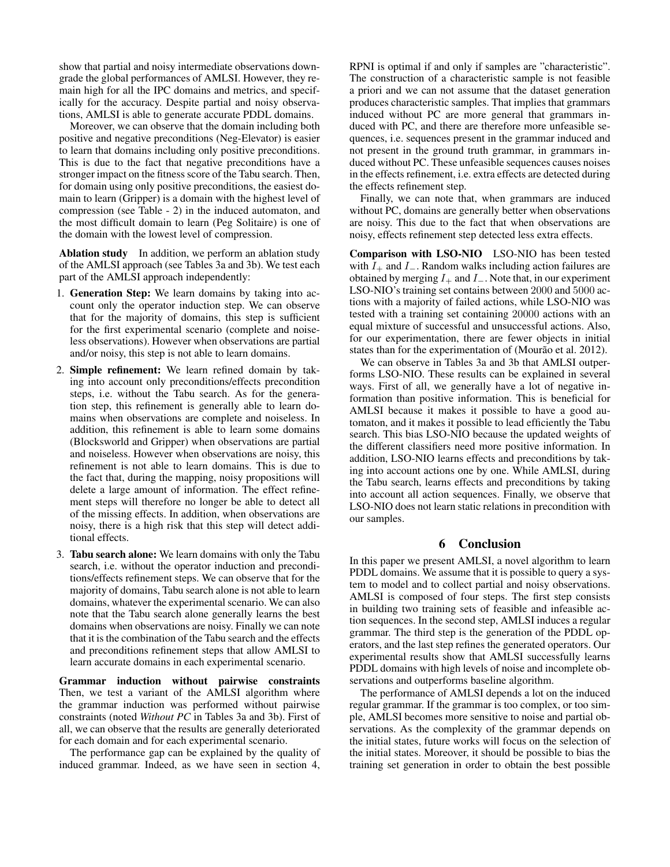show that partial and noisy intermediate observations downgrade the global performances of AMLSI. However, they remain high for all the IPC domains and metrics, and specifically for the accuracy. Despite partial and noisy observations, AMLSI is able to generate accurate PDDL domains.

Moreover, we can observe that the domain including both positive and negative preconditions (Neg-Elevator) is easier to learn that domains including only positive preconditions. This is due to the fact that negative preconditions have a stronger impact on the fitness score of the Tabu search. Then, for domain using only positive preconditions, the easiest domain to learn (Gripper) is a domain with the highest level of compression (see Table - 2) in the induced automaton, and the most difficult domain to learn (Peg Solitaire) is one of the domain with the lowest level of compression.

Ablation study In addition, we perform an ablation study of the AMLSI approach (see Tables 3a and 3b). We test each part of the AMLSI approach independently:

- 1. Generation Step: We learn domains by taking into account only the operator induction step. We can observe that for the majority of domains, this step is sufficient for the first experimental scenario (complete and noiseless observations). However when observations are partial and/or noisy, this step is not able to learn domains.
- 2. Simple refinement: We learn refined domain by taking into account only preconditions/effects precondition steps, i.e. without the Tabu search. As for the generation step, this refinement is generally able to learn domains when observations are complete and noiseless. In addition, this refinement is able to learn some domains (Blocksworld and Gripper) when observations are partial and noiseless. However when observations are noisy, this refinement is not able to learn domains. This is due to the fact that, during the mapping, noisy propositions will delete a large amount of information. The effect refinement steps will therefore no longer be able to detect all of the missing effects. In addition, when observations are noisy, there is a high risk that this step will detect additional effects.
- 3. Tabu search alone: We learn domains with only the Tabu search, i.e. without the operator induction and preconditions/effects refinement steps. We can observe that for the majority of domains, Tabu search alone is not able to learn domains, whatever the experimental scenario. We can also note that the Tabu search alone generally learns the best domains when observations are noisy. Finally we can note that it is the combination of the Tabu search and the effects and preconditions refinement steps that allow AMLSI to learn accurate domains in each experimental scenario.

Grammar induction without pairwise constraints Then, we test a variant of the AMLSI algorithm where the grammar induction was performed without pairwise constraints (noted *Without PC* in Tables 3a and 3b). First of all, we can observe that the results are generally deteriorated for each domain and for each experimental scenario.

The performance gap can be explained by the quality of induced grammar. Indeed, as we have seen in section 4,

RPNI is optimal if and only if samples are "characteristic". The construction of a characteristic sample is not feasible a priori and we can not assume that the dataset generation produces characteristic samples. That implies that grammars induced without PC are more general that grammars induced with PC, and there are therefore more unfeasible sequences, i.e. sequences present in the grammar induced and not present in the ground truth grammar, in grammars induced without PC. These unfeasible sequences causes noises in the effects refinement, i.e. extra effects are detected during the effects refinement step.

Finally, we can note that, when grammars are induced without PC, domains are generally better when observations are noisy. This due to the fact that when observations are noisy, effects refinement step detected less extra effects.

Comparison with LSO-NIO LSO-NIO has been tested with  $I_+$  and  $I_-$ . Random walks including action failures are obtained by merging  $I_+$  and  $I_-$ . Note that, in our experiment LSO-NIO's training set contains between 2000 and 5000 actions with a majority of failed actions, while LSO-NIO was tested with a training set containing 20000 actions with an equal mixture of successful and unsuccessful actions. Also, for our experimentation, there are fewer objects in initial states than for the experimentation of (Mourão et al. 2012).

We can observe in Tables 3a and 3b that AMLSI outperforms LSO-NIO. These results can be explained in several ways. First of all, we generally have a lot of negative information than positive information. This is beneficial for AMLSI because it makes it possible to have a good automaton, and it makes it possible to lead efficiently the Tabu search. This bias LSO-NIO because the updated weights of the different classifiers need more positive information. In addition, LSO-NIO learns effects and preconditions by taking into account actions one by one. While AMLSI, during the Tabu search, learns effects and preconditions by taking into account all action sequences. Finally, we observe that LSO-NIO does not learn static relations in precondition with our samples.

# 6 Conclusion

In this paper we present AMLSI, a novel algorithm to learn PDDL domains. We assume that it is possible to query a system to model and to collect partial and noisy observations. AMLSI is composed of four steps. The first step consists in building two training sets of feasible and infeasible action sequences. In the second step, AMLSI induces a regular grammar. The third step is the generation of the PDDL operators, and the last step refines the generated operators. Our experimental results show that AMLSI successfully learns PDDL domains with high levels of noise and incomplete observations and outperforms baseline algorithm.

The performance of AMLSI depends a lot on the induced regular grammar. If the grammar is too complex, or too simple, AMLSI becomes more sensitive to noise and partial observations. As the complexity of the grammar depends on the initial states, future works will focus on the selection of the initial states. Moreover, it should be possible to bias the training set generation in order to obtain the best possible